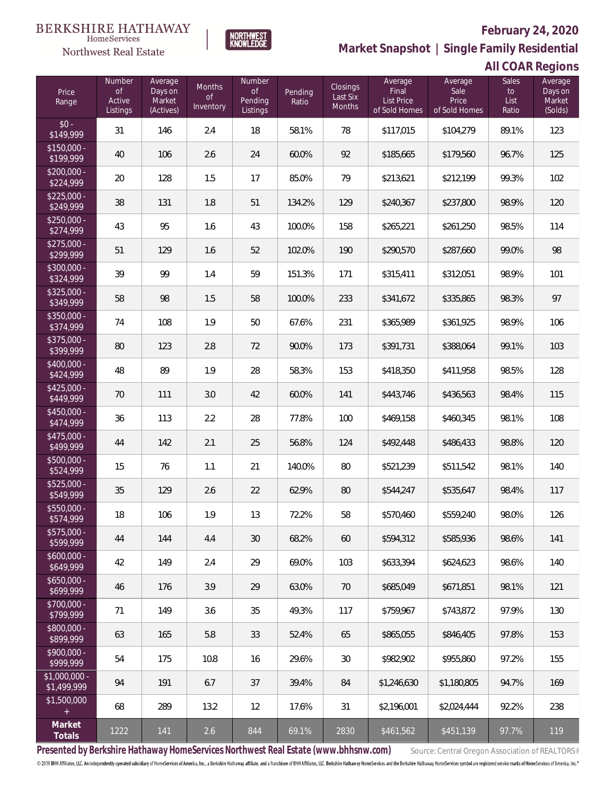**NORTHWEST**<br>KNOWLEDGE

Northwest Real Estate

# **February 24, 2020**

**Market Snapshot | Single Family Residential**

# **All COAR Regions**

| Price<br>Range                | Number<br><b>of</b><br>Active<br>Listings | Average<br>Days on<br>Market<br>(Actives) | Months<br>0f<br>Inventory | <b>Number</b><br>of<br>Pending<br>Listings | Pending<br>Ratio | Closings<br>Last Six<br>Months | Average<br>Final<br><b>List Price</b><br>of Sold Homes | Average<br>Sale<br>Price<br>of Sold Homes | <b>Sales</b><br>to<br>List<br>Ratio | Average<br>Days on<br>Market<br>(Solds) |
|-------------------------------|-------------------------------------------|-------------------------------------------|---------------------------|--------------------------------------------|------------------|--------------------------------|--------------------------------------------------------|-------------------------------------------|-------------------------------------|-----------------------------------------|
| $$0 -$<br>\$149,999           | 31                                        | 146                                       | 2.4                       | 18                                         | 58.1%            | 78                             | \$117,015                                              | \$104,279                                 | 89.1%                               | 123                                     |
| $$150,000 -$<br>\$199,999     | 40                                        | 106                                       | 2.6                       | 24                                         | 60.0%            | 92                             | \$185,665                                              | \$179,560                                 | 96.7%                               | 125                                     |
| $$200,000 -$<br>\$224,999     | 20                                        | 128                                       | 1.5                       | 17                                         | 85.0%            | 79                             | \$213,621                                              | \$212,199                                 | 99.3%                               | 102                                     |
| $$225,000 -$<br>\$249,999     | 38                                        | 131                                       | 1.8                       | 51                                         | 134.2%           | 129                            | \$240,367                                              | \$237,800                                 | 98.9%                               | 120                                     |
| $$250,000 -$<br>\$274,999     | 43                                        | 95                                        | 1.6                       | 43                                         | 100.0%           | 158                            | \$265,221                                              | \$261,250                                 | 98.5%                               | 114                                     |
| $$275,000 -$<br>\$299,999     | 51                                        | 129                                       | 1.6                       | 52                                         | 102.0%           | 190                            | \$290,570                                              | \$287,660                                 | 99.0%                               | 98                                      |
| $$300,000 -$<br>\$324,999     | 39                                        | 99                                        | 1.4                       | 59                                         | 151.3%           | 171                            | \$315,411                                              | \$312,051                                 | 98.9%                               | 101                                     |
| $$325,000 -$<br>\$349,999     | 58                                        | 98                                        | 1.5                       | 58                                         | 100.0%           | 233                            | \$341,672                                              | \$335,865                                 | 98.3%                               | 97                                      |
| $$350,000 -$<br>\$374,999     | 74                                        | 108                                       | 1.9                       | 50                                         | 67.6%            | 231                            | \$365,989                                              | \$361,925                                 | 98.9%                               | 106                                     |
| $$375,000 -$<br>\$399,999     | 80                                        | 123                                       | 2.8                       | 72                                         | 90.0%            | 173                            | \$391,731                                              | \$388,064                                 | 99.1%                               | 103                                     |
| $$400,000 -$<br>\$424,999     | 48                                        | 89                                        | 1.9                       | 28                                         | 58.3%            | 153                            | \$418,350                                              | \$411,958                                 | 98.5%                               | 128                                     |
| $$425,000 -$<br>\$449,999     | 70                                        | 111                                       | 3.0                       | 42                                         | 60.0%            | 141                            | \$443,746                                              | \$436,563                                 | 98.4%                               | 115                                     |
| $$450,000 -$<br>\$474,999     | 36                                        | 113                                       | 2.2                       | 28                                         | 77.8%            | 100                            | \$469,158                                              | \$460,345                                 | 98.1%                               | 108                                     |
| $$475,000 -$<br>\$499,999     | 44                                        | 142                                       | 2.1                       | 25                                         | 56.8%            | 124                            | \$492,448                                              | \$486,433                                 | 98.8%                               | 120                                     |
| $$500,000 -$<br>\$524,999     | 15                                        | 76                                        | 1.1                       | 21                                         | 140.0%           | 80                             | \$521,239                                              | \$511,542                                 | 98.1%                               | 140                                     |
| $$525,000 -$<br>\$549,999     | 35                                        | 129                                       | 2.6                       | 22                                         | 62.9%            | 80                             | \$544,247                                              | \$535,647                                 | 98.4%                               | 117                                     |
| $$550,000 -$<br>\$574,999     | 18                                        | 106                                       | 1.9                       | 13                                         | 72.2%            | 58                             | \$570,460                                              | \$559,240                                 | 98.0%                               | 126                                     |
| $$575,000 -$<br>\$599,999     | 44                                        | 144                                       | 4.4                       | 30                                         | 68.2%            | 60                             | \$594,312                                              | \$585,936                                 | 98.6%                               | 141                                     |
| $$600,000 -$<br>\$649,999     | 42                                        | 149                                       | 2.4                       | 29                                         | 69.0%            | 103                            | \$633,394                                              | \$624,623                                 | 98.6%                               | 140                                     |
| $$650,000 -$<br>\$699,999     | 46                                        | 176                                       | 3.9                       | 29                                         | 63.0%            | 70                             | \$685,049                                              | \$671,851                                 | 98.1%                               | 121                                     |
| $$700,000 -$<br>\$799,999     | 71                                        | 149                                       | 3.6                       | 35                                         | 49.3%            | 117                            | \$759,967                                              | \$743,872                                 | 97.9%                               | 130                                     |
| $$800,000 -$<br>\$899,999     | 63                                        | 165                                       | 5.8                       | 33                                         | 52.4%            | 65                             | \$865,055                                              | \$846,405                                 | 97.8%                               | 153                                     |
| $$900,000 -$<br>\$999,999     | 54                                        | 175                                       | 10.8                      | 16                                         | 29.6%            | 30                             | \$982,902                                              | \$955,860                                 | 97.2%                               | 155                                     |
| $$1,000,000 -$<br>\$1,499,999 | 94                                        | 191                                       | 6.7                       | 37                                         | 39.4%            | 84                             | \$1,246,630                                            | \$1,180,805                               | 94.7%                               | 169                                     |
| \$1,500,000<br>$\pm$          | 68                                        | 289                                       | 13.2                      | 12                                         | 17.6%            | 31                             | \$2,196,001                                            | \$2,024,444                               | 92.2%                               | 238                                     |
| Market<br>Totals              | 1222                                      | 141                                       | 2.6                       | 844                                        | 69.1%            | 2830                           | \$461,562                                              | \$451,139                                 | 97.7%                               | 119                                     |

Presented by Berkshire Hathaway HomeServices Northwest Real Estate (www.bhhsnw.com) source: Central Oregon Association of REALTORS®

© 2019 BHH Affiliates, LLC. An independently operated subsidiary of HomeServices of America, Inc., a Berkshire Hathaway affiliate, and a franchisee of BHH Affiliates, LLC. Berkshire Hathaway HomeServices and the Berkshire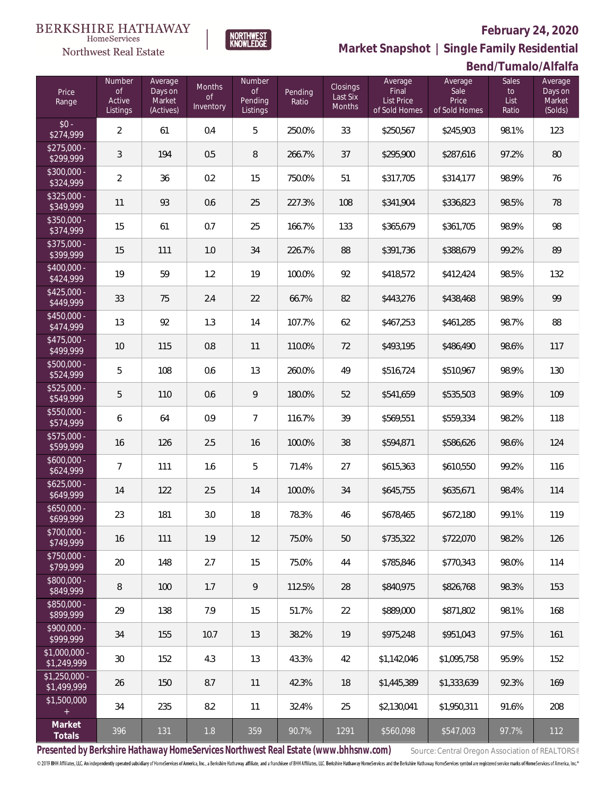

HomeServices

**Market Snapshot | Single Family Residential**

## **Bend/Tumalo/Alfalfa**

| Price<br>Range                | Number<br>of<br>Active<br>Listings | Average<br>Days on<br>Market<br>(Actives) | Months<br><b>of</b><br>Inventory | Number<br>$\circ$ f<br>Pending<br>Listings | Pending<br>Ratio | Closings<br>Last Six<br>Months | Average<br>Final<br>List Price<br>of Sold Homes | Average<br>Sale<br>Price<br>of Sold Homes | <b>Sales</b><br>$\mathsf{to}$<br>List<br>Ratio | Average<br>Days on<br>Market<br>(Solds) |
|-------------------------------|------------------------------------|-------------------------------------------|----------------------------------|--------------------------------------------|------------------|--------------------------------|-------------------------------------------------|-------------------------------------------|------------------------------------------------|-----------------------------------------|
| $$0 -$<br>\$274,999           | $\overline{2}$                     | 61                                        | 0.4                              | 5                                          | 250.0%           | 33                             | \$250,567                                       | \$245,903                                 | 98.1%                                          | 123                                     |
| $$275,000 -$<br>\$299,999     | 3                                  | 194                                       | 0.5                              | 8                                          | 266.7%           | 37                             | \$295,900                                       | \$287,616                                 | 97.2%                                          | 80                                      |
| $$300,000 -$<br>\$324,999     | $\overline{2}$                     | 36                                        | 0.2                              | 15                                         | 750.0%           | 51                             | \$317,705                                       | \$314,177                                 | 98.9%                                          | 76                                      |
| $$325,000 -$<br>\$349,999     | 11                                 | 93                                        | 0.6                              | 25                                         | 227.3%           | 108                            | \$341,904                                       | \$336,823                                 | 98.5%                                          | 78                                      |
| \$350,000 -<br>\$374,999      | 15                                 | 61                                        | 0.7                              | 25                                         | 166.7%           | 133                            | \$365,679                                       | \$361,705                                 | 98.9%                                          | 98                                      |
| \$375,000 -<br>\$399,999      | 15                                 | 111                                       | 1.0                              | 34                                         | 226.7%           | 88                             | \$391,736                                       | \$388,679                                 | 99.2%                                          | 89                                      |
| \$400,000 -<br>\$424,999      | 19                                 | 59                                        | 1.2                              | 19                                         | 100.0%           | 92                             | \$418,572                                       | \$412,424                                 | 98.5%                                          | 132                                     |
| $$425,000 -$<br>\$449,999     | 33                                 | 75                                        | 2.4                              | 22                                         | 66.7%            | 82                             | \$443,276                                       | \$438,468                                 | 98.9%                                          | 99                                      |
| \$450,000 -<br>\$474,999      | 13                                 | 92                                        | 1.3                              | 14                                         | 107.7%           | 62                             | \$467,253                                       | \$461,285                                 | 98.7%                                          | 88                                      |
| \$475,000 -<br>\$499,999      | 10                                 | 115                                       | 0.8                              | 11                                         | 110.0%           | 72                             | \$493,195                                       | \$486,490                                 | 98.6%                                          | 117                                     |
| \$500,000 -<br>\$524,999      | 5                                  | 108                                       | 0.6                              | 13                                         | 260.0%           | 49                             | \$516,724                                       | \$510,967                                 | 98.9%                                          | 130                                     |
| \$525,000 -<br>\$549,999      | 5                                  | 110                                       | 0.6                              | 9                                          | 180.0%           | 52                             | \$541,659                                       | \$535,503                                 | 98.9%                                          | 109                                     |
| \$550,000 -<br>\$574,999      | 6                                  | 64                                        | 0.9                              | 7                                          | 116.7%           | 39                             | \$569,551                                       | \$559,334                                 | 98.2%                                          | 118                                     |
| \$575,000 -<br>\$599,999      | 16                                 | 126                                       | 2.5                              | 16                                         | 100.0%           | 38                             | \$594,871                                       | \$586,626                                 | 98.6%                                          | 124                                     |
| \$600,000 -<br>\$624,999      | $\overline{7}$                     | 111                                       | 1.6                              | 5                                          | 71.4%            | 27                             | \$615,363                                       | \$610,550                                 | 99.2%                                          | 116                                     |
| $$625,000 -$<br>\$649,999     | 14                                 | 122                                       | 2.5                              | 14                                         | 100.0%           | 34                             | \$645,755                                       | \$635,671                                 | 98.4%                                          | 114                                     |
| \$650,000 -<br>\$699,999      | 23                                 | 181                                       | 3.0                              | 18                                         | 78.3%            | 46                             | \$678,465                                       | \$672,180                                 | 99.1%                                          | 119                                     |
| \$700,000 -<br>\$749,999      | 16                                 | 111                                       | 1.9                              | 12                                         | 75.0%            | 50                             | \$735,322                                       | \$722,070                                 | 98.2%                                          | 126                                     |
| $$750,000 -$<br>\$799,999     | 20                                 | 148                                       | 2.7                              | 15                                         | 75.0%            | 44                             | \$785,846                                       | \$770,343                                 | 98.0%                                          | 114                                     |
| \$800,000 -<br>\$849,999      | 8                                  | 100                                       | 1.7                              | 9                                          | 112.5%           | 28                             | \$840,975                                       | \$826.768                                 | 98.3%                                          | 153                                     |
| \$850,000 -<br>\$899,999      | 29                                 | 138                                       | 7.9                              | 15                                         | 51.7%            | 22                             | \$889,000                                       | \$871,802                                 | 98.1%                                          | 168                                     |
| \$900,000 -<br>\$999,999      | 34                                 | 155                                       | 10.7                             | 13                                         | 38.2%            | 19                             | \$975,248                                       | \$951,043                                 | 97.5%                                          | 161                                     |
| $$1,000,000 -$<br>\$1,249,999 | 30                                 | 152                                       | 4.3                              | 13                                         | 43.3%            | 42                             | \$1,142,046                                     | \$1,095,758                               | 95.9%                                          | 152                                     |
| $$1,250,000 -$<br>\$1,499,999 | 26                                 | 150                                       | 8.7                              | 11                                         | 42.3%            | 18                             | \$1,445,389                                     | \$1,333,639                               | 92.3%                                          | 169                                     |
| \$1,500,000<br>$+$            | 34                                 | 235                                       | 8.2                              | 11                                         | 32.4%            | 25                             | \$2,130,041                                     | \$1,950,311                               | 91.6%                                          | 208                                     |
| Market<br>Totals              | 396                                | 131                                       | 1.8                              | 359                                        | 90.7%            | 1291                           | \$560,098                                       | \$547,003                                 | 97.7%                                          | 112                                     |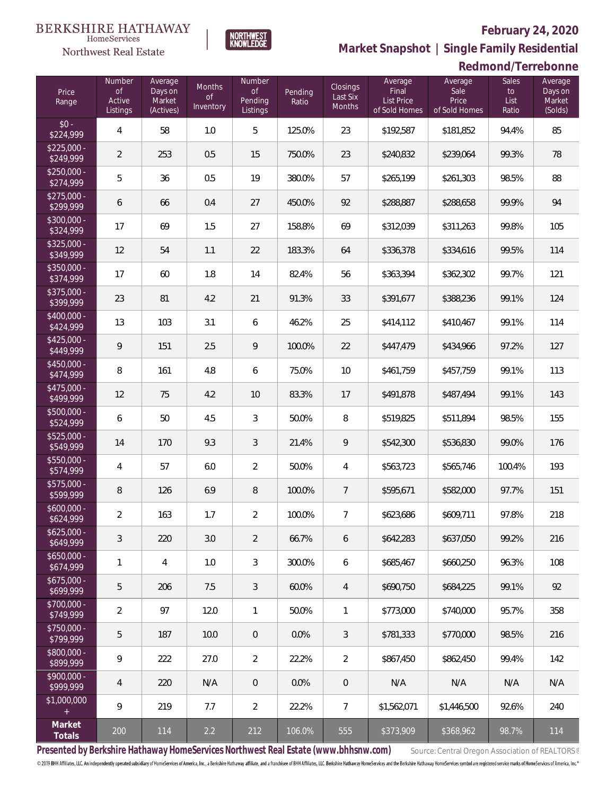**Redmond/Terrebonne**



**NORTHWEST**<br>KNOWLEDGE

**Market Snapshot | Single Family Residential**

|       | <b>Northwest Real Estate</b> |                    |                     | <b>NNOWLLDOL</b> |
|-------|------------------------------|--------------------|---------------------|------------------|
| Price | <b>Number</b><br>of.         | Average<br>Days on | <b>Months</b><br>Ωf | Number<br>nt     |
| ange  | Active                       | Market             |                     | Pending          |

| Price<br>Range            | Number<br><b>of</b><br>Active<br>Listings | Average<br>Days on<br>Market<br>(Actives) | Months<br>of<br>Inventory | Number<br>of<br>Pending<br>Listings | Pending<br>Ratio | Closings<br>Last Six<br><b>Months</b> | Average<br>Final<br><b>List Price</b><br>of Sold Homes | Average<br>Sale<br>Price<br>of Sold Homes | Sales<br>to<br>List<br>Ratio | Average<br>Days on<br>Market<br>(Solds) |
|---------------------------|-------------------------------------------|-------------------------------------------|---------------------------|-------------------------------------|------------------|---------------------------------------|--------------------------------------------------------|-------------------------------------------|------------------------------|-----------------------------------------|
| $$0 -$<br>\$224,999       | 4                                         | 58                                        | 1.0                       | 5                                   | 125.0%           | 23                                    | \$192,587                                              | \$181,852                                 | 94.4%                        | 85                                      |
| $$225,000 -$<br>\$249,999 | $\overline{2}$                            | 253                                       | 0.5                       | 15                                  | 750.0%           | 23                                    | \$240,832                                              | \$239,064                                 | 99.3%                        | 78                                      |
| $$250,000 -$<br>\$274,999 | 5                                         | 36                                        | 0.5                       | 19                                  | 380.0%           | 57                                    | \$265,199                                              | \$261,303                                 | 98.5%                        | 88                                      |
| $$275,000 -$<br>\$299,999 | 6                                         | 66                                        | 0.4                       | 27                                  | 450.0%           | 92                                    | \$288,887                                              | \$288,658                                 | 99.9%                        | 94                                      |
| $$300,000 -$<br>\$324,999 | 17                                        | 69                                        | 1.5                       | 27                                  | 158.8%           | 69                                    | \$312,039                                              | \$311,263                                 | 99.8%                        | 105                                     |
| $$325,000 -$<br>\$349,999 | 12                                        | 54                                        | 1.1                       | 22                                  | 183.3%           | 64                                    | \$336,378                                              | \$334,616                                 | 99.5%                        | 114                                     |
| $$350,000 -$<br>\$374,999 | 17                                        | 60                                        | 1.8                       | 14                                  | 82.4%            | 56                                    | \$363,394                                              | \$362,302                                 | 99.7%                        | 121                                     |
| $$375,000 -$<br>\$399,999 | 23                                        | 81                                        | 4.2                       | 21                                  | 91.3%            | 33                                    | \$391,677                                              | \$388,236                                 | 99.1%                        | 124                                     |
| $$400,000 -$<br>\$424,999 | 13                                        | 103                                       | 3.1                       | 6                                   | 46.2%            | 25                                    | \$414,112                                              | \$410,467                                 | 99.1%                        | 114                                     |
| $$425,000 -$<br>\$449,999 | 9                                         | 151                                       | 2.5                       | 9                                   | 100.0%           | 22                                    | \$447,479                                              | \$434,966                                 | 97.2%                        | 127                                     |
| $$450,000 -$<br>\$474,999 | $\, 8$                                    | 161                                       | 4.8                       | 6                                   | 75.0%            | 10                                    | \$461,759                                              | \$457,759                                 | 99.1%                        | 113                                     |
| $$475,000 -$<br>\$499,999 | 12                                        | 75                                        | 4.2                       | 10                                  | 83.3%            | 17                                    | \$491,878                                              | \$487,494                                 | 99.1%                        | 143                                     |
| $$500,000 -$<br>\$524,999 | 6                                         | 50                                        | 4.5                       | 3                                   | 50.0%            | 8                                     | \$519,825                                              | \$511,894                                 | 98.5%                        | 155                                     |
| $$525,000 -$<br>\$549,999 | 14                                        | 170                                       | 9.3                       | 3                                   | 21.4%            | 9                                     | \$542,300                                              | \$536,830                                 | 99.0%                        | 176                                     |
| $$550,000 -$<br>\$574,999 | 4                                         | 57                                        | 6.0                       | $\overline{2}$                      | 50.0%            | 4                                     | \$563,723                                              | \$565,746                                 | 100.4%                       | 193                                     |
| $$575,000 -$<br>\$599,999 | $\, 8$                                    | 126                                       | 6.9                       | 8                                   | 100.0%           | 7                                     | \$595,671                                              | \$582,000                                 | 97.7%                        | 151                                     |
| $$600,000 -$<br>\$624,999 | $\overline{2}$                            | 163                                       | 1.7                       | $\overline{2}$                      | 100.0%           | $\overline{7}$                        | \$623,686                                              | \$609,711                                 | 97.8%                        | 218                                     |
| $$625,000 -$<br>\$649,999 | $\mathfrak{Z}$                            | 220                                       | 3.0                       | $\overline{2}$                      | 66.7%            | 6                                     | \$642,283                                              | \$637,050                                 | 99.2%                        | 216                                     |
| $$650,000 -$<br>\$674,999 | 1                                         | $\overline{4}$                            | 1.0                       | 3                                   | 300.0%           | 6                                     | \$685,467                                              | \$660,250                                 | 96.3%                        | 108                                     |
| $$675,000 -$<br>\$699,999 | 5                                         | 206                                       | 7.5                       | 3                                   | 60.0%            | $\overline{4}$                        | \$690,750                                              | \$684,225                                 | 99.1%                        | 92                                      |
| \$700,000 -<br>\$749,999  | $\overline{2}$                            | 97                                        | 12.0                      | $\mathbf{1}$                        | 50.0%            | 1                                     | \$773,000                                              | \$740,000                                 | 95.7%                        | 358                                     |
| \$750,000 -<br>\$799,999  | 5                                         | 187                                       | 10.0                      | 0                                   | 0.0%             | 3                                     | \$781,333                                              | \$770,000                                 | 98.5%                        | 216                                     |
| \$800,000 -<br>\$899,999  | 9                                         | 222                                       | 27.0                      | $\overline{2}$                      | 22.2%            | $\overline{2}$                        | \$867,450                                              | \$862,450                                 | 99.4%                        | 142                                     |
| \$900,000 -<br>\$999,999  | $\overline{4}$                            | 220                                       | N/A                       | 0                                   | 0.0%             | $\theta$                              | N/A                                                    | N/A                                       | N/A                          | N/A                                     |
| \$1,000,000<br>$^{+}$     | 9                                         | 219                                       | 7.7                       | 2                                   | 22.2%            | 7                                     | \$1,562,071                                            | \$1,446,500                               | 92.6%                        | 240                                     |
| Market<br>Totals          | 200                                       | 114                                       | 2.2                       | 212                                 | 106.0%           | 555                                   | \$373,909                                              | \$368,962                                 | 98.7%                        | 114                                     |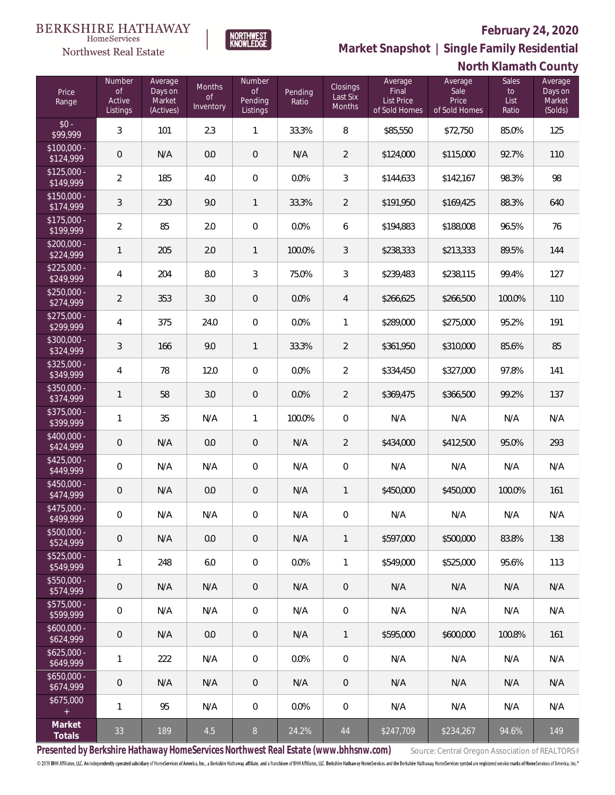

**NORTHWEST**<br>KNOWLEDGE

Northwest Real Estate

**Market Snapshot | Single Family Residential**

| North Klamath County |
|----------------------|
|                      |

| Price<br>Range            | <b>Number</b><br><b>of</b><br>Active<br>Listings | Average<br>Days on<br>Market<br>(Actives) | Months<br>of<br>Inventory | Number<br>of<br>Pending<br>Listings | Pending<br>Ratio | <b>Closings</b><br>Last Six<br>Months | Average<br>Final<br><b>List Price</b><br>of Sold Homes | Average<br>Sale<br>Price<br>of Sold Homes | Sales<br>to<br>List<br>Ratio | Average<br>Days on<br>Market<br>(Solds) |
|---------------------------|--------------------------------------------------|-------------------------------------------|---------------------------|-------------------------------------|------------------|---------------------------------------|--------------------------------------------------------|-------------------------------------------|------------------------------|-----------------------------------------|
| $$0 -$<br>\$99,999        | 3                                                | 101                                       | 2.3                       | $\mathbf{1}$                        | 33.3%            | 8                                     | \$85,550                                               | \$72,750                                  | 85.0%                        | 125                                     |
| $$100,000 -$<br>\$124,999 | $\mathbf 0$                                      | N/A                                       | 0.0                       | $\overline{0}$                      | N/A              | $\overline{2}$                        | \$124,000                                              | \$115,000                                 | 92.7%                        | 110                                     |
| $$125,000 -$<br>\$149,999 | $\overline{2}$                                   | 185                                       | 4.0                       | $\mathbf 0$                         | 0.0%             | $\mathfrak{Z}$                        | \$144,633                                              | \$142,167                                 | 98.3%                        | 98                                      |
| $$150,000 -$<br>\$174,999 | $\mathfrak{Z}$                                   | 230                                       | 9.0                       | $\mathbf{1}$                        | 33.3%            | $\overline{2}$                        | \$191,950                                              | \$169,425                                 | 88.3%                        | 640                                     |
| $$175,000 -$<br>\$199,999 | $\sqrt{2}$                                       | 85                                        | 2.0                       | $\mathbf 0$                         | 0.0%             | 6                                     | \$194,883                                              | \$188,008                                 | 96.5%                        | 76                                      |
| $$200,000 -$<br>\$224,999 | $\mathbf{1}$                                     | 205                                       | 2.0                       | $\mathbf{1}$                        | 100.0%           | 3                                     | \$238,333                                              | \$213,333                                 | 89.5%                        | 144                                     |
| $$225,000 -$<br>\$249,999 | $\overline{4}$                                   | 204                                       | 8.0                       | $\mathfrak{Z}$                      | 75.0%            | 3                                     | \$239,483                                              | \$238,115                                 | 99.4%                        | 127                                     |
| $$250,000 -$<br>\$274,999 | $\overline{2}$                                   | 353                                       | 3.0                       | $\overline{0}$                      | 0.0%             | $\overline{4}$                        | \$266,625                                              | \$266,500                                 | 100.0%                       | 110                                     |
| $$275,000 -$<br>\$299,999 | $\overline{4}$                                   | 375                                       | 24.0                      | $\mathbf 0$                         | 0.0%             | 1                                     | \$289,000                                              | \$275,000                                 | 95.2%                        | 191                                     |
| $$300,000 -$<br>\$324,999 | $\mathfrak{Z}$                                   | 166                                       | 9.0                       | $\mathbf{1}$                        | 33.3%            | $\overline{2}$                        | \$361,950                                              | \$310,000                                 | 85.6%                        | 85                                      |
| $$325,000 -$<br>\$349,999 | $\overline{4}$                                   | 78                                        | 12.0                      | $\mathbf 0$                         | 0.0%             | $\overline{2}$                        | \$334,450                                              | \$327,000                                 | 97.8%                        | 141                                     |
| $$350,000 -$<br>\$374,999 | $\mathbf{1}$                                     | 58                                        | 3.0                       | $\mathbf 0$                         | 0.0%             | $\overline{2}$                        | \$369,475                                              | \$366,500                                 | 99.2%                        | 137                                     |
| $$375,000 -$<br>\$399,999 | $\mathbf{1}$                                     | 35                                        | N/A                       | $\mathbf{1}$                        | 100.0%           | $\overline{0}$                        | N/A                                                    | N/A                                       | N/A                          | N/A                                     |
| $$400,000 -$<br>\$424,999 | $\mathbf 0$                                      | N/A                                       | 0.0                       | $\mathbf 0$                         | N/A              | 2                                     | \$434,000                                              | \$412,500                                 | 95.0%                        | 293                                     |
| $$425,000 -$<br>\$449,999 | $\overline{0}$                                   | N/A                                       | N/A                       | $\mathbf 0$                         | N/A              | $\overline{0}$                        | N/A                                                    | N/A                                       | N/A                          | N/A                                     |
| $$450,000 -$<br>\$474,999 | $\mathbf 0$                                      | N/A                                       | 0.0                       | $\mathbf 0$                         | N/A              | $\mathbf{1}$                          | \$450,000                                              | \$450,000                                 | 100.0%                       | 161                                     |
| $$475,000 -$<br>\$499,999 | $\mathbf 0$                                      | N/A                                       | N/A                       | $\boldsymbol{0}$                    | N/A              | $\mathbf 0$                           | N/A                                                    | N/A                                       | N/A                          | N/A                                     |
| \$500,000 -<br>\$524,999  | $\mathbf 0$                                      | N/A                                       | $0.0\,$                   | 0                                   | N/A              | $\mathbf{1}$                          | \$597,000                                              | \$500,000                                 | 83.8%                        | 138                                     |
| $$525,000 -$<br>\$549,999 | $\mathbf{1}$                                     | 248                                       | $6.0\,$                   | $\mathbf 0$                         | 0.0%             | $\mathbf{1}$                          | \$549,000                                              | \$525,000                                 | 95.6%                        | 113                                     |
| \$550,000 -<br>\$574,999  | $\mathbf 0$                                      | N/A                                       | N/A                       | $\boldsymbol{0}$                    | N/A              | $\mathsf{O}\xspace$                   | N/A                                                    | N/A                                       | N/A                          | N/A                                     |
| $$575,000 -$<br>\$599,999 | $\mathbf 0$                                      | N/A                                       | N/A                       | $\mathbf 0$                         | N/A              | $\mathbf 0$                           | N/A                                                    | N/A                                       | N/A                          | N/A                                     |
| $$600,000 -$<br>\$624,999 | $\mathbf 0$                                      | N/A                                       | 0.0                       | $\boldsymbol{0}$                    | N/A              | $\mathbf{1}$                          | \$595,000                                              | \$600,000                                 | 100.8%                       | 161                                     |
| $$625,000 -$<br>\$649,999 | 1                                                | 222                                       | N/A                       | $\mathbf 0$                         | 0.0%             | 0                                     | N/A                                                    | N/A                                       | N/A                          | N/A                                     |
| $$650,000 -$<br>\$674,999 | $\mathbf 0$                                      | N/A                                       | N/A                       | $\boldsymbol{0}$                    | N/A              | $\mathsf{O}\xspace$                   | N/A                                                    | N/A                                       | N/A                          | N/A                                     |
| \$675,000<br>$\pm$        | 1                                                | 95                                        | N/A                       | 0                                   | 0.0%             | $\mathbf 0$                           | N/A                                                    | N/A                                       | N/A                          | N/A                                     |
| Market<br>Totals          | 33                                               | 189                                       | 4.5                       | $8\,$                               | 24.2%            | $44\,$                                | \$247,709                                              | \$234,267                                 | 94.6%                        | 149                                     |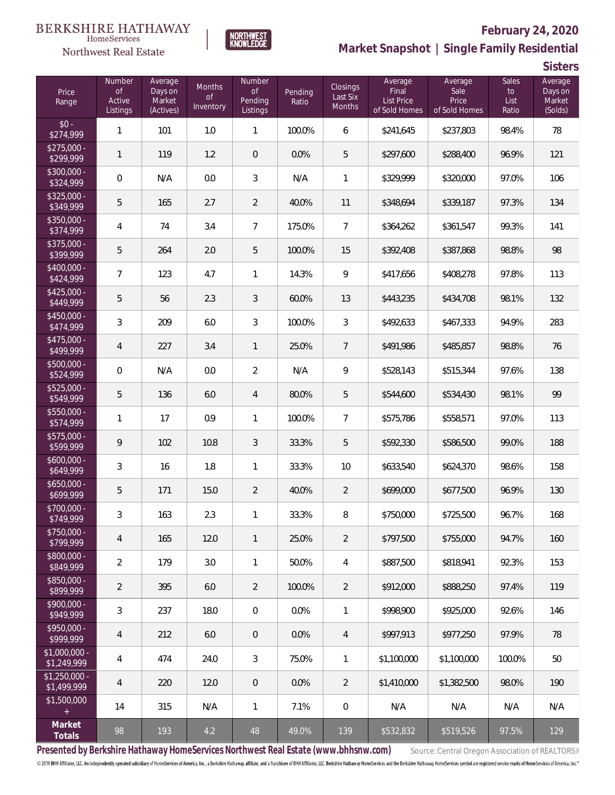



# **February 24, 2020 Market Snapshot | Single Family Residential**

**Sisters**

| Price<br>Range                | Number<br><b>of</b><br>Active<br>Listings | Average<br>Days on<br>Market<br>(Actives) | Months<br><b>of</b><br>Inventory | Number<br><b>of</b><br>Pending<br>Listings | Pending<br>Ratio | Closings<br>Last Six<br>Months | Average<br>Final<br><b>List Price</b><br>of Sold Homes | Average<br>Sale<br>Price<br>of Sold Homes | <b>Sales</b><br>to<br>List<br>Ratio | Average<br>Days on<br>Market<br>(Solds) |
|-------------------------------|-------------------------------------------|-------------------------------------------|----------------------------------|--------------------------------------------|------------------|--------------------------------|--------------------------------------------------------|-------------------------------------------|-------------------------------------|-----------------------------------------|
| $$0 -$<br>\$274,999           | $\mathbf{1}$                              | 101                                       | 1.0                              | $\mathbf{1}$                               | 100.0%           | 6                              | \$241,645                                              | \$237,803                                 | 98.4%                               | 78                                      |
| $$275,000 -$<br>\$299,999     | 1                                         | 119                                       | 1.2                              | $\mathbf 0$                                | 0.0%             | 5                              | \$297,600                                              | \$288,400                                 | 96.9%                               | 121                                     |
| \$300,000 -<br>\$324,999      | $\mathbf 0$                               | N/A                                       | 0.0                              | 3                                          | N/A              | 1                              | \$329,999                                              | \$320,000                                 | 97.0%                               | 106                                     |
| \$325,000 -<br>\$349,999      | 5                                         | 165                                       | 2.7                              | $\overline{2}$                             | 40.0%            | 11                             | \$348,694                                              | \$339,187                                 | 97.3%                               | 134                                     |
| \$350,000 -<br>\$374,999      | 4                                         | 74                                        | 3.4                              | $\overline{7}$                             | 175.0%           | 7                              | \$364,262                                              | \$361,547                                 | 99.3%                               | 141                                     |
| \$375,000 -<br>\$399,999      | 5                                         | 264                                       | 2.0                              | 5                                          | 100.0%           | 15                             | \$392,408                                              | \$387,868                                 | 98.8%                               | 98                                      |
| \$400,000 -<br>\$424,999      | 7                                         | 123                                       | 4.7                              | $\mathbf{1}$                               | 14.3%            | 9                              | \$417,656                                              | \$408,278                                 | 97.8%                               | 113                                     |
| $$425,000 -$<br>\$449,999     | 5                                         | 56                                        | 2.3                              | $\mathfrak{Z}$                             | 60.0%            | 13                             | \$443,235                                              | \$434,708                                 | 98.1%                               | 132                                     |
| \$450,000 -<br>\$474,999      | 3                                         | 209                                       | 6.0                              | 3                                          | 100.0%           | $\mathfrak{Z}$                 | \$492,633                                              | \$467,333                                 | 94.9%                               | 283                                     |
| \$475,000 -<br>\$499,999      | $\overline{4}$                            | 227                                       | 3.4                              | $\mathbf{1}$                               | 25.0%            | 7                              | \$491,986                                              | \$485,857                                 | 98.8%                               | 76                                      |
| \$500,000 -<br>\$524,999      | $\mathbf 0$                               | N/A                                       | 0.0                              | $\overline{2}$                             | N/A              | 9                              | \$528,143                                              | \$515,344                                 | 97.6%                               | 138                                     |
| \$525,000 -<br>\$549,999      | 5                                         | 136                                       | 6.0                              | $\overline{4}$                             | 80.0%            | 5                              | \$544,600                                              | \$534,430                                 | 98.1%                               | 99                                      |
| \$550,000 -<br>\$574,999      | $\mathbf{1}$                              | 17                                        | 0.9                              | $\mathbf{1}$                               | 100.0%           | 7                              | \$575,786                                              | \$558,571                                 | 97.0%                               | 113                                     |
| \$575,000 -<br>\$599,999      | $\mathsf q$                               | 102                                       | 10.8                             | $\mathfrak{Z}$                             | 33.3%            | 5                              | \$592,330                                              | \$586,500                                 | 99.0%                               | 188                                     |
| \$600,000 -<br>\$649,999      | 3                                         | 16                                        | 1.8                              | $\mathbf{1}$                               | 33.3%            | 10                             | \$633,540                                              | \$624,370                                 | 98.6%                               | 158                                     |
| $$650,000 -$<br>\$699,999     | 5                                         | 171                                       | 15.0                             | $\overline{2}$                             | 40.0%            | $\overline{2}$                 | \$699,000                                              | \$677,500                                 | 96.9%                               | 130                                     |
| \$700,000 -<br>\$749,999      | 3                                         | 163                                       | 2.3                              | 1                                          | 33.3%            | 8                              | \$750,000                                              | \$725,500                                 | 96.7%                               | 168                                     |
| \$750,000 -<br>\$799,999      | 4                                         | 165                                       | 12.0                             | $\mathbf{1}$                               | 25.0%            | $\overline{2}$                 | \$797,500                                              | \$755,000                                 | 94.7%                               | 160                                     |
| \$800,000 -<br>\$849,999      | 2                                         | 179                                       | 3.0                              | $\mathbf{1}$                               | 50.0%            | 4                              | \$887,500                                              | \$818,941                                 | 92.3%                               | 153                                     |
| \$850,000 -<br>\$899,999      | $\overline{2}$                            | 395                                       | 6.0                              | $\overline{2}$                             | 100.0%           | $\overline{2}$                 | \$912,000                                              | \$888,250                                 | 97.4%                               | 119                                     |
| \$900,000 -<br>\$949,999      | 3                                         | 237                                       | 18.0                             | $\mathbf 0$                                | 0.0%             | $\mathbf{1}$                   | \$998,900                                              | \$925,000                                 | 92.6%                               | 146                                     |
| \$950,000 -<br>\$999,999      | 4                                         | 212                                       | 6.0                              | $\mathbf 0$                                | 0.0%             | $\overline{4}$                 | \$997,913                                              | \$977,250                                 | 97.9%                               | 78                                      |
| $$1,000,000 -$<br>\$1,249,999 | 4                                         | 474                                       | 24.0                             | 3                                          | 75.0%            | 1                              | \$1,100,000                                            | \$1,100,000                               | 100.0%                              | 50                                      |
| $$1,250,000 -$<br>\$1,499,999 | 4                                         | 220                                       | 12.0                             | $\mathbf 0$                                | 0.0%             | $\overline{2}$                 | \$1,410,000                                            | \$1,382,500                               | 98.0%                               | 190                                     |
| \$1,500,000<br>$+$            | 14                                        | 315                                       | N/A                              | $\mathbf{1}$                               | 7.1%             | 0                              | N/A                                                    | N/A                                       | N/A                                 | N/A                                     |
| Market<br>Totals              | 98                                        | 193                                       | 4.2                              | 48                                         | 49.0%            | 139                            | \$532,832                                              | \$519,526                                 | 97.5%                               | 129                                     |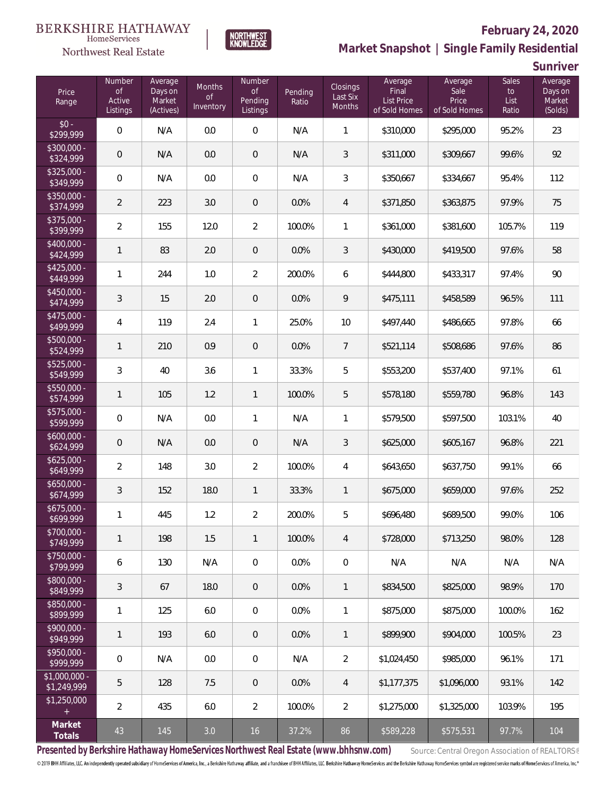

**NORTHWEST**<br>KNOWLEDGE

# **February 24, 2020**



**Sunriver**

| Price<br>Range                | Number<br>of<br>Active<br>Listings | Average<br>Days on<br>Market<br>(Actives) | <b>Months</b><br><b>of</b><br>Inventory | <b>Number</b><br><b>of</b><br>Pending<br>Listings | Pending<br>Ratio | <b>Closings</b><br>Last Six<br><b>Months</b> | Average<br>Final<br>List Price<br>of Sold Homes | Average<br>Sale<br>Price<br>of Sold Homes | <b>Sales</b><br>to<br>List<br>Ratio | Average<br>Days on<br>Market<br>(Solds) |
|-------------------------------|------------------------------------|-------------------------------------------|-----------------------------------------|---------------------------------------------------|------------------|----------------------------------------------|-------------------------------------------------|-------------------------------------------|-------------------------------------|-----------------------------------------|
| $$0 -$<br>\$299,999           | $\mathbf 0$                        | N/A                                       | 0.0                                     | $\boldsymbol{0}$                                  | N/A              | $\mathbf{1}$                                 | \$310,000                                       | \$295,000                                 | 95.2%                               | 23                                      |
| \$300,000 -<br>\$324,999      | $\mathbf 0$                        | N/A                                       | 0.0                                     | $\theta$                                          | N/A              | 3                                            | \$311,000                                       | \$309,667                                 | 99.6%                               | 92                                      |
| $$325,000 -$<br>\$349,999     | $\mathbf 0$                        | N/A                                       | 0.0                                     | $\,0\,$                                           | N/A              | 3                                            | \$350,667                                       | \$334,667                                 | 95.4%                               | 112                                     |
| \$350,000 -<br>\$374,999      | $\overline{2}$                     | 223                                       | 3.0                                     | $\theta$                                          | 0.0%             | $\overline{4}$                               | \$371,850                                       | \$363,875                                 | 97.9%                               | 75                                      |
| \$375,000 -<br>\$399,999      | $\overline{2}$                     | 155                                       | 12.0                                    | $\overline{2}$                                    | 100.0%           | 1                                            | \$361,000                                       | \$381,600                                 | 105.7%                              | 119                                     |
| \$400,000 -<br>\$424,999      | $\mathbf{1}$                       | 83                                        | 2.0                                     | $\theta$                                          | 0.0%             | 3                                            | \$430,000                                       | \$419,500                                 | 97.6%                               | 58                                      |
| $$425,000 -$<br>\$449,999     | $\mathbf{1}$                       | 244                                       | 1.0                                     | $\overline{2}$                                    | 200.0%           | 6                                            | \$444,800                                       | \$433,317                                 | 97.4%                               | 90                                      |
| \$450,000 -<br>\$474,999      | $\sqrt{3}$                         | 15                                        | 2.0                                     | $\,0\,$                                           | 0.0%             | 9                                            | \$475,111                                       | \$458,589                                 | 96.5%                               | 111                                     |
| \$475,000 -<br>\$499,999      | $\overline{4}$                     | 119                                       | 2.4                                     | 1                                                 | 25.0%            | 10                                           | \$497,440                                       | \$486,665                                 | 97.8%                               | 66                                      |
| \$500,000 -<br>\$524,999      | $\mathbf{1}$                       | 210                                       | 0.9                                     | $\,0\,$                                           | 0.0%             | 7                                            | \$521,114                                       | \$508,686                                 | 97.6%                               | 86                                      |
| \$525,000 -<br>\$549,999      | $\mathfrak{Z}$                     | 40                                        | 3.6                                     | 1                                                 | 33.3%            | 5                                            | \$553,200                                       | \$537,400                                 | 97.1%                               | 61                                      |
| \$550,000 -<br>\$574,999      | $\mathbf{1}$                       | 105                                       | 1.2                                     | $\mathbf{1}$                                      | 100.0%           | 5                                            | \$578,180                                       | \$559,780                                 | 96.8%                               | 143                                     |
| \$575,000 -<br>\$599,999      | $\mathbf 0$                        | N/A                                       | 0.0                                     | $\mathbf{1}$                                      | N/A              | 1                                            | \$579,500                                       | \$597,500                                 | 103.1%                              | 40                                      |
| $$600,000 -$<br>\$624,999     | $\mathbf 0$                        | N/A                                       | 0.0                                     | $\mathbf 0$                                       | N/A              | $\mathfrak{Z}$                               | \$625,000                                       | \$605,167                                 | 96.8%                               | 221                                     |
| $$625,000 -$<br>\$649,999     | $\overline{2}$                     | 148                                       | 3.0                                     | $\overline{2}$                                    | 100.0%           | $\overline{4}$                               | \$643,650                                       | \$637,750                                 | 99.1%                               | 66                                      |
| $$650,000 -$<br>\$674,999     | $\sqrt{3}$                         | 152                                       | 18.0                                    | $\mathbf{1}$                                      | 33.3%            | $\mathbf{1}$                                 | \$675,000                                       | \$659,000                                 | 97.6%                               | 252                                     |
| $$675,000 -$<br>\$699,999     | 1                                  | 445                                       | 1.2                                     | $\overline{2}$                                    | 200.0%           | 5                                            | \$696,480                                       | \$689,500                                 | 99.0%                               | 106                                     |
| \$700,000 -<br>\$749,999      | $\mathbf{1}$                       | 198                                       | 1.5                                     | $\mathbf{1}$                                      | 100.0%           | $\overline{4}$                               | \$728,000                                       | \$713,250                                 | 98.0%                               | 128                                     |
| \$750,000 -<br>\$799,999      | $\boldsymbol{6}$                   | 130                                       | N/A                                     | $\mathbf 0$                                       | 0.0%             | $\mathbf 0$                                  | N/A                                             | N/A                                       | N/A                                 | N/A                                     |
| \$800,000 -<br>\$849,999      | $\mathfrak{Z}$                     | 67                                        | 18.0                                    | $\,0\,$                                           | 0.0%             | $\mathbf{1}$                                 | \$834,500                                       | \$825,000                                 | 98.9%                               | 170                                     |
| $$850,000 -$<br>\$899,999     | $\mathbf{1}$                       | 125                                       | 6.0                                     | $\mathbf 0$                                       | 0.0%             | $\mathbf{1}$                                 | \$875,000                                       | \$875,000                                 | 100.0%                              | 162                                     |
| $$900,000 -$<br>\$949,999     | $\mathbf{1}$                       | 193                                       | 6.0                                     | $\,0\,$                                           | 0.0%             | $\mathbf{1}$                                 | \$899,900                                       | \$904,000                                 | 100.5%                              | 23                                      |
| $$950,000 -$<br>\$999,999     | $\mathbf 0$                        | N/A                                       | 0.0                                     | $\mathbf 0$                                       | N/A              | $\overline{2}$                               | \$1,024,450                                     | \$985,000                                 | 96.1%                               | 171                                     |
| $$1,000,000 -$<br>\$1,249,999 | 5                                  | 128                                       | 7.5                                     | $\,0\,$                                           | 0.0%             | $\overline{4}$                               | \$1,177,375                                     | \$1,096,000                               | 93.1%                               | 142                                     |
| \$1,250,000<br>$\pm$          | $\overline{2}$                     | 435                                       | 6.0                                     | $\overline{2}$                                    | 100.0%           | $\overline{2}$                               | \$1,275,000                                     | \$1,325,000                               | 103.9%                              | 195                                     |
| Market<br>Totals              | 43                                 | 145                                       | 3.0                                     | 16                                                | 37.2%            | 86                                           | \$589,228                                       | \$575,531                                 | 97.7%                               | 104                                     |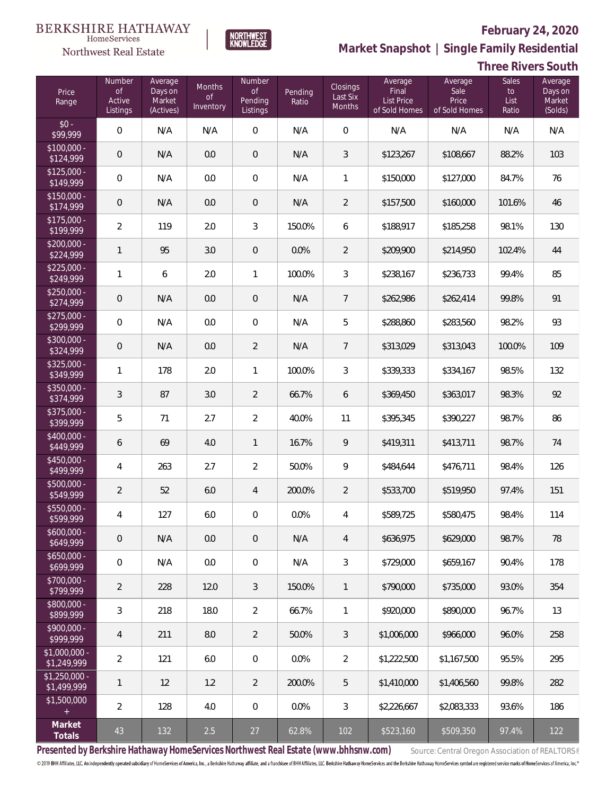

 $\label{lem:sevices} \textsc{Home} \textsc{Service} \textsc{s}$ 

**Market Snapshot | Single Family Residential**

## **Three Rivers South**

| Price<br>Range                | Number<br><b>of</b><br>Active<br>Listings | Average<br>Days on<br>Market<br>(Actives) | Months<br>0f<br>Inventory | Number<br>of<br>Pending<br>Listings | Pending<br>Ratio | <b>Closings</b><br>Last Six<br><b>Months</b> | Average<br>Final<br><b>List Price</b><br>of Sold Homes | Average<br>Sale<br>Price<br>of Sold Homes | Sales<br>to<br>List<br>Ratio | Average<br>Days on<br>Market<br>(Solds) |
|-------------------------------|-------------------------------------------|-------------------------------------------|---------------------------|-------------------------------------|------------------|----------------------------------------------|--------------------------------------------------------|-------------------------------------------|------------------------------|-----------------------------------------|
| $$0 -$<br>\$99,999            | $\overline{0}$                            | N/A                                       | N/A                       | $\overline{0}$                      | N/A              | $\overline{0}$                               | N/A                                                    | N/A                                       | N/A                          | N/A                                     |
| $$100,000 -$<br>\$124,999     | $\overline{0}$                            | N/A                                       | 0.0                       | $\overline{0}$                      | N/A              | 3                                            | \$123,267                                              | \$108,667                                 | 88.2%                        | 103                                     |
| $$125,000 -$<br>\$149,999     | $\overline{0}$                            | N/A                                       | 0.0                       | $\mathbf 0$                         | N/A              | $\mathbf{1}$                                 | \$150,000                                              | \$127,000                                 | 84.7%                        | 76                                      |
| $$150,000 -$<br>\$174,999     | 0                                         | N/A                                       | 0.0                       | 0                                   | N/A              | $\overline{2}$                               | \$157,500                                              | \$160,000                                 | 101.6%                       | 46                                      |
| $$175,000 -$<br>\$199,999     | $\overline{2}$                            | 119                                       | 2.0                       | 3                                   | 150.0%           | 6                                            | \$188,917                                              | \$185,258                                 | 98.1%                        | 130                                     |
| $$200,000 -$<br>\$224,999     | $\mathbf{1}$                              | 95                                        | 3.0                       | 0                                   | 0.0%             | 2                                            | \$209,900                                              | \$214,950                                 | 102.4%                       | 44                                      |
| $$225,000 -$<br>\$249,999     | $\mathbf{1}$                              | 6                                         | 2.0                       | 1                                   | 100.0%           | $\mathfrak{Z}$                               | \$238,167                                              | \$236,733                                 | 99.4%                        | 85                                      |
| $$250,000 -$<br>\$274,999     | 0                                         | N/A                                       | 0.0                       | 0                                   | N/A              | 7                                            | \$262,986                                              | \$262,414                                 | 99.8%                        | 91                                      |
| $$275,000 -$<br>\$299,999     | $\overline{0}$                            | N/A                                       | 0.0                       | $\mathbf 0$                         | N/A              | 5                                            | \$288,860                                              | \$283,560                                 | 98.2%                        | 93                                      |
| \$300,000 -<br>\$324,999      | 0                                         | N/A                                       | 0.0                       | $\overline{2}$                      | N/A              | 7                                            | \$313,029                                              | \$313,043                                 | 100.0%                       | 109                                     |
| $$325,000 -$<br>\$349,999     | $\mathbf{1}$                              | 178                                       | 2.0                       | 1                                   | 100.0%           | 3                                            | \$339,333                                              | \$334,167                                 | 98.5%                        | 132                                     |
| $$350,000 -$<br>\$374,999     | 3                                         | 87                                        | 3.0                       | $\overline{2}$                      | 66.7%            | 6                                            | \$369,450                                              | \$363,017                                 | 98.3%                        | 92                                      |
| $$375,000 -$<br>\$399,999     | 5                                         | 71                                        | 2.7                       | $\overline{a}$                      | 40.0%            | 11                                           | \$395,345                                              | \$390,227                                 | 98.7%                        | 86                                      |
| \$400,000 -<br>\$449,999      | 6                                         | 69                                        | 4.0                       | 1                                   | 16.7%            | 9                                            | \$419,311                                              | \$413,711                                 | 98.7%                        | 74                                      |
| $$450,000 -$<br>\$499,999     | 4                                         | 263                                       | 2.7                       | $\overline{a}$                      | 50.0%            | 9                                            | \$484,644                                              | \$476,711                                 | 98.4%                        | 126                                     |
| $$500,000 -$<br>\$549,999     | $\overline{2}$                            | 52                                        | 6.0                       | 4                                   | 200.0%           | $\overline{2}$                               | \$533,700                                              | \$519,950                                 | 97.4%                        | 151                                     |
| \$550,000 -<br>\$599,999      | $\overline{4}$                            | 127                                       | $6.0\,$                   | 0                                   | 0.0%             | $\overline{4}$                               | \$589,725                                              | \$580,475                                 | 98.4%                        | 114                                     |
| \$600,000 -<br>\$649,999      | $\mathbf 0$                               | N/A                                       | 0.0                       | 0                                   | N/A              | 4                                            | \$636,975                                              | \$629,000                                 | 98.7%                        | 78                                      |
| $$650,000 -$<br>\$699,999     | $\mathbf 0$                               | N/A                                       | 0.0                       | $\boldsymbol{0}$                    | N/A              | 3                                            | \$729,000                                              | \$659,167                                 | 90.4%                        | 178                                     |
| $$700,000 -$<br>\$799,999     | $\overline{2}$                            | 228                                       | 12.0                      | 3                                   | 150.0%           | $\mathbf{1}$                                 | \$790,000                                              | \$735,000                                 | 93.0%                        | 354                                     |
| \$800,000 -<br>\$899,999      | 3                                         | 218                                       | 18.0                      | $\overline{2}$                      | 66.7%            | $\mathbf{1}$                                 | \$920,000                                              | \$890,000                                 | 96.7%                        | 13                                      |
| $$900,000 -$<br>\$999,999     | 4                                         | 211                                       | 8.0                       | 2                                   | 50.0%            | 3                                            | \$1,006,000                                            | \$966,000                                 | 96.0%                        | 258                                     |
| $$1,000,000 -$<br>\$1,249,999 | $\overline{2}$                            | 121                                       | 6.0                       | $\mathbf 0$                         | 0.0%             | $\overline{2}$                               | \$1,222,500                                            | \$1,167,500                               | 95.5%                        | 295                                     |
| $$1,250,000 -$<br>\$1,499,999 | 1                                         | 12                                        | 1.2                       | $\overline{2}$                      | 200.0%           | 5                                            | \$1,410,000                                            | \$1,406,560                               | 99.8%                        | 282                                     |
| \$1,500,000<br>$\pm$          | $\overline{2}$                            | 128                                       | 4.0                       | $\mathbf 0$                         | 0.0%             | 3                                            | \$2,226,667                                            | \$2,083,333                               | 93.6%                        | 186                                     |
| Market<br>Totals              | 43                                        | 132                                       | 2.5                       | 27                                  | 62.8%            | 102                                          | \$523,160                                              | \$509,350                                 | 97.4%                        | 122                                     |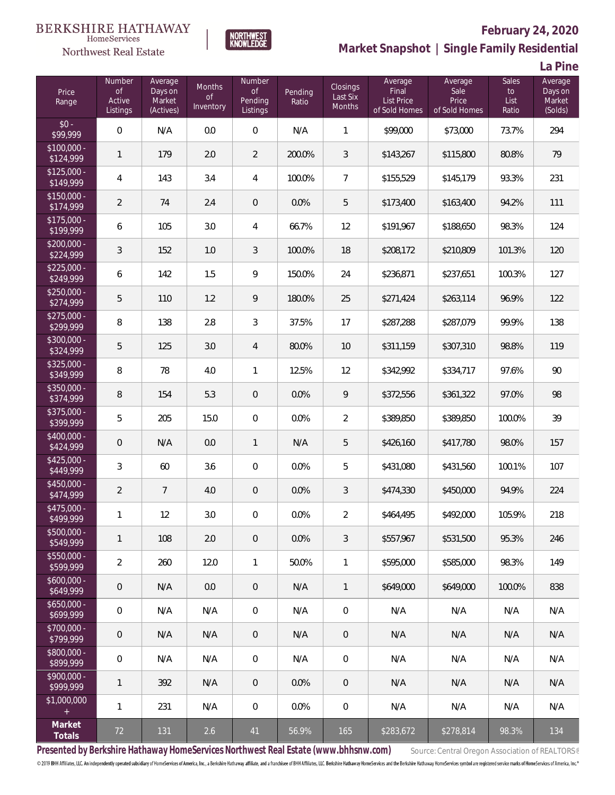

# **February 24, 2020**



**NORTHWEST**<br>KNOWLEDGE

**La Pine**

| Price<br>Range            | <b>Number</b><br><b>of</b><br>Active<br>Listings | Average<br>Days on<br>Market<br>(Actives) | <b>Months</b><br><b>of</b><br>Inventory | Number<br><b>of</b><br>Pending<br>Listings | Pending<br>Ratio | Closings<br>Last Six<br>Months | Average<br>Final<br>List Price<br>of Sold Homes | Average<br>Sale<br>Price<br>of Sold Homes | Sales<br>$\mathsf{to}$<br>List<br>Ratio | Average<br>Days on<br>Market<br>(Solds) |
|---------------------------|--------------------------------------------------|-------------------------------------------|-----------------------------------------|--------------------------------------------|------------------|--------------------------------|-------------------------------------------------|-------------------------------------------|-----------------------------------------|-----------------------------------------|
| $$0 -$<br>\$99,999        | $\mathbf 0$                                      | N/A                                       | 0.0                                     | $\mathbf 0$                                | N/A              | $\mathbf{1}$                   | \$99,000                                        | \$73,000                                  | 73.7%                                   | 294                                     |
| $$100,000 -$<br>\$124,999 | $\mathbf{1}$                                     | 179                                       | 2.0                                     | $\overline{2}$                             | 200.0%           | $\sqrt{3}$                     | \$143,267                                       | \$115,800                                 | 80.8%                                   | 79                                      |
| $$125,000 -$<br>\$149,999 | $\overline{4}$                                   | 143                                       | 3.4                                     | 4                                          | 100.0%           | 7                              | \$155,529                                       | \$145,179                                 | 93.3%                                   | 231                                     |
| $$150,000 -$<br>\$174,999 | $\overline{2}$                                   | 74                                        | 2.4                                     | $\,0\,$                                    | 0.0%             | 5                              | \$173,400                                       | \$163,400                                 | 94.2%                                   | 111                                     |
| $$175,000 -$<br>\$199,999 | 6                                                | 105                                       | 3.0                                     | 4                                          | 66.7%            | 12                             | \$191,967                                       | \$188,650                                 | 98.3%                                   | 124                                     |
| $$200,000 -$<br>\$224,999 | 3                                                | 152                                       | 1.0                                     | 3                                          | 100.0%           | 18                             | \$208,172                                       | \$210,809                                 | 101.3%                                  | 120                                     |
| $$225,000 -$<br>\$249,999 | 6                                                | 142                                       | 1.5                                     | 9                                          | 150.0%           | 24                             | \$236,871                                       | \$237,651                                 | 100.3%                                  | 127                                     |
| $$250,000 -$<br>\$274,999 | 5                                                | 110                                       | 1.2                                     | 9                                          | 180.0%           | 25                             | \$271,424                                       | \$263,114                                 | 96.9%                                   | 122                                     |
| $$275,000 -$<br>\$299,999 | 8                                                | 138                                       | 2.8                                     | 3                                          | 37.5%            | 17                             | \$287,288                                       | \$287,079                                 | 99.9%                                   | 138                                     |
| $$300,000 -$<br>\$324,999 | 5                                                | 125                                       | 3.0                                     | 4                                          | 80.0%            | 10                             | \$311,159                                       | \$307,310                                 | 98.8%                                   | 119                                     |
| $$325,000 -$<br>\$349,999 | 8                                                | 78                                        | 4.0                                     | 1                                          | 12.5%            | 12                             | \$342,992                                       | \$334,717                                 | 97.6%                                   | 90                                      |
| \$350,000 -<br>\$374,999  | 8                                                | 154                                       | 5.3                                     | $\mathbf 0$                                | 0.0%             | 9                              | \$372,556                                       | \$361,322                                 | 97.0%                                   | 98                                      |
| \$375,000 -<br>\$399,999  | 5                                                | 205                                       | 15.0                                    | $\boldsymbol{0}$                           | 0.0%             | $\overline{2}$                 | \$389,850                                       | \$389,850                                 | 100.0%                                  | 39                                      |
| $$400,000 -$<br>\$424,999 | $\mathbf 0$                                      | N/A                                       | 0.0                                     | $\mathbf{1}$                               | N/A              | 5                              | \$426,160                                       | \$417,780                                 | 98.0%                                   | 157                                     |
| $$425,000 -$<br>\$449,999 | $\mathfrak{Z}$                                   | 60                                        | 3.6                                     | $\,0\,$                                    | 0.0%             | 5                              | \$431,080                                       | \$431,560                                 | 100.1%                                  | 107                                     |
| $$450,000 -$<br>\$474,999 | $\sqrt{2}$                                       | $\overline{7}$                            | 4.0                                     | 0                                          | 0.0%             | 3                              | \$474,330                                       | \$450,000                                 | 94.9%                                   | 224                                     |
| $$475,000 -$<br>\$499,999 | $\mathbf{1}$                                     | 12                                        | 3.0                                     | $\mathbf 0$                                | 0.0%             | $\overline{2}$                 | \$464,495                                       | \$492,000                                 | 105.9%                                  | 218                                     |
| $$500,000 -$<br>\$549,999 | $\mathbf{1}$                                     | 108                                       | 2.0                                     | $\,0\,$                                    | 0.0%             | 3                              | \$557,967                                       | \$531,500                                 | 95.3%                                   | 246                                     |
| $$550,000 -$<br>\$599,999 | $\overline{2}$                                   | 260                                       | 12.0                                    | $\mathbf{1}$                               | 50.0%            | $\mathbf{1}$                   | \$595,000                                       | \$585,000                                 | 98.3%                                   | 149                                     |
| $$600,000 -$<br>\$649,999 | $\mathbf 0$                                      | N/A                                       | 0.0                                     | $\theta$                                   | N/A              | $\mathbf{1}$                   | \$649,000                                       | \$649,000                                 | 100.0%                                  | 838                                     |
| $$650,000 -$<br>\$699,999 | $\mathbf 0$                                      | N/A                                       | N/A                                     | $\mathbf 0$                                | N/A              | $\mathbf 0$                    | N/A                                             | N/A                                       | N/A                                     | N/A                                     |
| \$700,000 -<br>\$799,999  | $\mathbf 0$                                      | N/A                                       | N/A                                     | $\theta$                                   | N/A              | $\mathbf 0$                    | N/A                                             | N/A                                       | N/A                                     | N/A                                     |
| $$800,000 -$<br>\$899,999 | $\mathbf 0$                                      | N/A                                       | N/A                                     | $\,0\,$                                    | N/A              | $\mathbf 0$                    | N/A                                             | N/A                                       | N/A                                     | N/A                                     |
| $$900,000 -$<br>\$999,999 | $\mathbf{1}$                                     | 392                                       | N/A                                     | $\,0\,$                                    | 0.0%             | $\mathbf 0$                    | N/A                                             | N/A                                       | N/A                                     | N/A                                     |
| \$1,000,000<br>$\pm$      | $\mathbf{1}$                                     | 231                                       | N/A                                     | $\boldsymbol{0}$                           | 0.0%             | $\mathbf 0$                    | N/A                                             | N/A                                       | N/A                                     | N/A                                     |
| Market<br>Totals          | 72                                               | 131                                       | 2.6                                     | 41                                         | 56.9%            | 165                            | \$283,672                                       | \$278,814                                 | 98.3%                                   | 134                                     |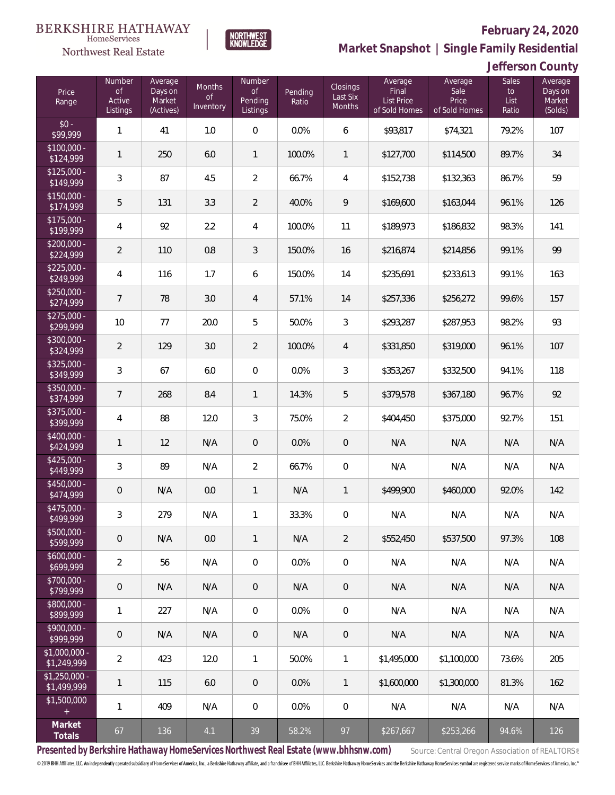

## **February 24, 2020**

**Market Snapshot | Single Family Residential**

|  | Jefferson County |  |  |
|--|------------------|--|--|
|  |                  |  |  |

| Price<br>Range                | Number<br>of<br>Active<br>Listings | Average<br>Days on<br>Market<br>(Actives) | Months<br>0f<br>Inventory | <b>Number</b><br>of<br>Pending<br>Listings | Pending<br>Ratio | <b>Closings</b><br>Last Six<br>Months | Average<br>Final<br><b>List Price</b><br>of Sold Homes | Average<br>Sale<br>Price<br>of Sold Homes | <b>Sales</b><br>to<br>List<br>Ratio | Average<br>Days on<br>Market<br>(Solds) |
|-------------------------------|------------------------------------|-------------------------------------------|---------------------------|--------------------------------------------|------------------|---------------------------------------|--------------------------------------------------------|-------------------------------------------|-------------------------------------|-----------------------------------------|
| $$0 -$<br>\$99,999            | $\mathbf{1}$                       | 41                                        | 1.0                       | $\overline{0}$                             | 0.0%             | 6                                     | \$93,817                                               | \$74,321                                  | 79.2%                               | 107                                     |
| $$100,000 -$<br>\$124,999     | $\mathbf{1}$                       | 250                                       | 6.0                       | $\mathbf{1}$                               | 100.0%           | $\mathbf{1}$                          | \$127,700                                              | \$114,500                                 | 89.7%                               | 34                                      |
| $$125,000 -$<br>\$149,999     | 3                                  | 87                                        | 4.5                       | $\overline{2}$                             | 66.7%            | $\overline{4}$                        | \$152,738                                              | \$132,363                                 | 86.7%                               | 59                                      |
| $$150,000 -$<br>\$174,999     | 5                                  | 131                                       | 3.3                       | $\overline{2}$                             | 40.0%            | 9                                     | \$169,600                                              | \$163,044                                 | 96.1%                               | 126                                     |
| $$175,000 -$<br>\$199,999     | $\overline{4}$                     | 92                                        | 2.2                       | $\overline{4}$                             | 100.0%           | 11                                    | \$189,973                                              | \$186,832                                 | 98.3%                               | 141                                     |
| $$200,000 -$<br>\$224,999     | $\overline{2}$                     | 110                                       | 0.8                       | $\mathfrak{Z}$                             | 150.0%           | 16                                    | \$216,874                                              | \$214,856                                 | 99.1%                               | 99                                      |
| $$225,000 -$<br>\$249,999     | $\overline{4}$                     | 116                                       | 1.7                       | 6                                          | 150.0%           | 14                                    | \$235,691                                              | \$233,613                                 | 99.1%                               | 163                                     |
| $$250,000 -$<br>\$274,999     | $\overline{7}$                     | 78                                        | 3.0                       | $\overline{4}$                             | 57.1%            | 14                                    | \$257,336                                              | \$256,272                                 | 99.6%                               | 157                                     |
| $$275,000 -$<br>\$299,999     | 10                                 | 77                                        | 20.0                      | 5                                          | 50.0%            | 3                                     | \$293,287                                              | \$287,953                                 | 98.2%                               | 93                                      |
| $$300,000 -$<br>\$324,999     | $\overline{2}$                     | 129                                       | 3.0                       | $\overline{2}$                             | 100.0%           | $\overline{4}$                        | \$331,850                                              | \$319,000                                 | 96.1%                               | 107                                     |
| $$325,000 -$<br>\$349,999     | $\mathfrak{Z}$                     | 67                                        | 6.0                       | $\mathbf 0$                                | 0.0%             | 3                                     | \$353,267                                              | \$332,500                                 | 94.1%                               | 118                                     |
| $$350,000 -$<br>\$374,999     | $\overline{7}$                     | 268                                       | 8.4                       | $\mathbf{1}$                               | 14.3%            | 5                                     | \$379,578                                              | \$367,180                                 | 96.7%                               | 92                                      |
| \$375,000 -<br>\$399,999      | $\overline{4}$                     | 88                                        | 12.0                      | $\mathfrak{Z}$                             | 75.0%            | $\overline{2}$                        | \$404,450                                              | \$375,000                                 | 92.7%                               | 151                                     |
| \$400,000 -<br>\$424,999      | $\mathbf{1}$                       | 12                                        | N/A                       | $\mathbf 0$                                | 0.0%             | $\overline{0}$                        | N/A                                                    | N/A                                       | N/A                                 | N/A                                     |
| $$425,000 -$<br>\$449,999     | $\mathfrak{Z}$                     | 89                                        | N/A                       | $\overline{2}$                             | 66.7%            | $\overline{0}$                        | N/A                                                    | N/A                                       | N/A                                 | N/A                                     |
| $$450,000 -$<br>\$474,999     | $\mathbf 0$                        | N/A                                       | 0.0                       | $\mathbf{1}$                               | N/A              | $\mathbf{1}$                          | \$499,900                                              | \$460,000                                 | 92.0%                               | 142                                     |
| \$475,000 -<br>\$499,999      | $\mathfrak{Z}$                     | 279                                       | N/A                       | 1                                          | 33.3%            | $\mathbf 0$                           | N/A                                                    | N/A                                       | N/A                                 | N/A                                     |
| \$500,000 -<br>\$599,999      | $\mathbf 0$                        | N/A                                       | $0.0\,$                   | $\mathbf{1}$                               | N/A              | $\overline{2}$                        | \$552,450                                              | \$537,500                                 | 97.3%                               | 108                                     |
| $$600,000 -$<br>\$699,999     | $\overline{2}$                     | 56                                        | N/A                       | $\mathbf 0$                                | 0.0%             | $\boldsymbol{0}$                      | N/A                                                    | N/A                                       | N/A                                 | N/A                                     |
| \$700,000 -<br>\$799,999      | $\mathbf 0$                        | N/A                                       | N/A                       | $\theta$                                   | N/A              | $\mathbf 0$                           | N/A                                                    | N/A                                       | N/A                                 | N/A                                     |
| \$800,000 -<br>\$899,999      | $\mathbf{1}$                       | 227                                       | N/A                       | $\boldsymbol{0}$                           | 0.0%             | $\boldsymbol{0}$                      | N/A                                                    | N/A                                       | N/A                                 | N/A                                     |
| \$900,000 -<br>\$999,999      | $\mathbf 0$                        | N/A                                       | N/A                       | $\theta$                                   | N/A              | $\mathsf{O}\xspace$                   | N/A                                                    | N/A                                       | N/A                                 | N/A                                     |
| $$1,000,000 -$<br>\$1,249,999 | $\overline{2}$                     | 423                                       | 12.0                      | $\mathbf{1}$                               | 50.0%            | 1                                     | \$1,495,000                                            | \$1,100,000                               | 73.6%                               | 205                                     |
| $$1,250,000 -$<br>\$1,499,999 | 1                                  | 115                                       | 6.0                       | $\mathbf 0$                                | 0.0%             | $\mathbf{1}$                          | \$1,600,000                                            | \$1,300,000                               | 81.3%                               | 162                                     |
| \$1,500,000<br>$\pm$          | $\mathbf{1}$                       | 409                                       | N/A                       | $\mathbf 0$                                | 0.0%             | $\boldsymbol{0}$                      | N/A                                                    | N/A                                       | N/A                                 | N/A                                     |
| Market<br>Totals              | 67                                 | 136                                       | 4.1                       | 39                                         | 58.2%            | 97                                    | \$267,667                                              | \$253,266                                 | 94.6%                               | 126                                     |

**NORTHWEST**<br>KNOWLEDGE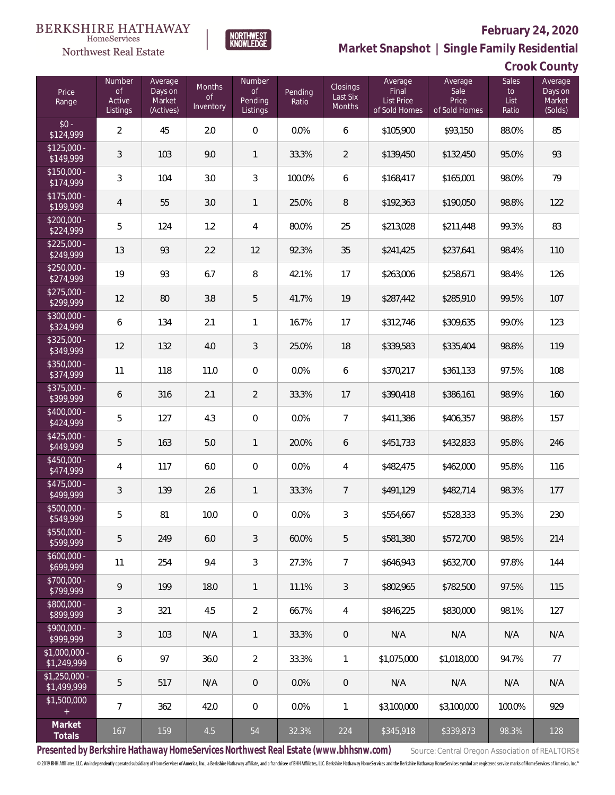Northwest Real Estate

# **February 24, 2020**

**Market Snapshot | Single Family Residential**

| Crook County |
|--------------|
|--------------|

| Price<br>Range                | Number<br><b>of</b><br>Active<br>Listings | Average<br>Days on<br>Market<br>(Actives) | <b>Months</b><br><b>of</b><br>Inventory | <b>Number</b><br>$\circ$ f<br>Pending<br>Listings | Pending<br>Ratio | Closings<br>Last Six<br>Months | Average<br>Final<br>List Price<br>of Sold Homes | Average<br>Sale<br>Price<br>of Sold Homes | <b>Sales</b><br>to<br>List<br>Ratio | Average<br>Days on<br>Market<br>(Solds) |
|-------------------------------|-------------------------------------------|-------------------------------------------|-----------------------------------------|---------------------------------------------------|------------------|--------------------------------|-------------------------------------------------|-------------------------------------------|-------------------------------------|-----------------------------------------|
| $$0 -$<br>\$124,999           | 2                                         | 45                                        | 2.0                                     | $\boldsymbol{0}$                                  | 0.0%             | 6                              | \$105,900                                       | \$93,150                                  | 88.0%                               | 85                                      |
| $$125,000 -$<br>\$149,999     | $\mathfrak{Z}$                            | 103                                       | 9.0                                     | $\mathbf{1}$                                      | 33.3%            | 2                              | \$139,450                                       | \$132,450                                 | 95.0%                               | 93                                      |
| $$150,000 -$<br>\$174,999     | 3                                         | 104                                       | 3.0                                     | 3                                                 | 100.0%           | 6                              | \$168,417                                       | \$165,001                                 | 98.0%                               | 79                                      |
| $$175,000 -$<br>\$199,999     | $\overline{4}$                            | 55                                        | 3.0                                     | $\mathbf{1}$                                      | 25.0%            | 8                              | \$192,363                                       | \$190,050                                 | 98.8%                               | 122                                     |
| $$200,000 -$<br>\$224,999     | 5                                         | 124                                       | 1.2                                     | 4                                                 | 80.0%            | 25                             | \$213,028                                       | \$211,448                                 | 99.3%                               | 83                                      |
| $$225,000 -$<br>\$249,999     | 13                                        | 93                                        | 2.2                                     | 12                                                | 92.3%            | 35                             | \$241,425                                       | \$237,641                                 | 98.4%                               | 110                                     |
| $$250,000 -$<br>\$274,999     | 19                                        | 93                                        | 6.7                                     | 8                                                 | 42.1%            | 17                             | \$263,006                                       | \$258,671                                 | 98.4%                               | 126                                     |
| $$275,000 -$<br>\$299,999     | 12                                        | 80                                        | 3.8                                     | 5                                                 | 41.7%            | 19                             | \$287,442                                       | \$285,910                                 | 99.5%                               | 107                                     |
| \$300,000 -<br>\$324,999      | 6                                         | 134                                       | 2.1                                     | 1                                                 | 16.7%            | 17                             | \$312,746                                       | \$309,635                                 | 99.0%                               | 123                                     |
| $$325,000 -$<br>\$349,999     | 12                                        | 132                                       | 4.0                                     | 3                                                 | 25.0%            | 18                             | \$339,583                                       | \$335,404                                 | 98.8%                               | 119                                     |
| \$350,000 -<br>\$374,999      | 11                                        | 118                                       | 11.0                                    | 0                                                 | 0.0%             | 6                              | \$370,217                                       | \$361,133                                 | 97.5%                               | 108                                     |
| \$375,000 -<br>\$399,999      | 6                                         | 316                                       | 2.1                                     | $\overline{2}$                                    | 33.3%            | 17                             | \$390,418                                       | \$386,161                                 | 98.9%                               | 160                                     |
| \$400,000 -<br>\$424,999      | 5                                         | 127                                       | 4.3                                     | $\boldsymbol{0}$                                  | 0.0%             | $\overline{7}$                 | \$411,386                                       | \$406,357                                 | 98.8%                               | 157                                     |
| $$425,000 -$<br>\$449,999     | 5                                         | 163                                       | 5.0                                     | $\mathbf{1}$                                      | 20.0%            | 6                              | \$451,733                                       | \$432,833                                 | 95.8%                               | 246                                     |
| \$450,000 -<br>\$474,999      | $\overline{4}$                            | 117                                       | 6.0                                     | $\boldsymbol{0}$                                  | 0.0%             | $\overline{4}$                 | \$482,475                                       | \$462,000                                 | 95.8%                               | 116                                     |
| \$475,000 -<br>\$499,999      | $\mathfrak{Z}$                            | 139                                       | 2.6                                     | $\mathbf{1}$                                      | 33.3%            | $\overline{7}$                 | \$491,129                                       | \$482,714                                 | 98.3%                               | 177                                     |
| \$500,000 -<br>\$549,999      | $\mathbf 5$                               | 81                                        | 10.0                                    | $\mathbf 0$                                       | 0.0%             | $\mathfrak{Z}$                 | \$554,667                                       | \$528,333                                 | 95.3%                               | 230                                     |
| $$550,000 -$<br>\$599,999     | 5                                         | 249                                       | 6.0                                     | 3                                                 | 60.0%            | 5                              | \$581,380                                       | \$572,700                                 | 98.5%                               | 214                                     |
| $$600,000 -$<br>\$699,999     | 11                                        | 254                                       | 9.4                                     | 3                                                 | 27.3%            | 7                              | \$646,943                                       | \$632,700                                 | 97.8%                               | 144                                     |
| $$700,000 -$<br>\$799,999     | 9                                         | 199                                       | 18.0                                    | $\mathbf{1}$                                      | 11.1%            | 3                              | \$802,965                                       | \$782,500                                 | 97.5%                               | 115                                     |
| \$800,000 -<br>\$899,999      | 3                                         | 321                                       | 4.5                                     | 2                                                 | 66.7%            | 4                              | \$846.225                                       | \$830,000                                 | 98.1%                               | 127                                     |
| $$900,000 -$<br>\$999,999     | $\mathfrak{Z}$                            | 103                                       | N/A                                     | $\mathbf{1}$                                      | 33.3%            | $\mathbf 0$                    | N/A                                             | N/A                                       | N/A                                 | N/A                                     |
| $$1,000,000 -$<br>\$1,249,999 | 6                                         | 97                                        | 36.0                                    | 2                                                 | 33.3%            | $\mathbf{1}$                   | \$1,075,000                                     | \$1,018,000                               | 94.7%                               | 77                                      |
| $$1,250,000 -$<br>\$1,499,999 | 5                                         | 517                                       | N/A                                     | $\overline{0}$                                    | 0.0%             | $\overline{0}$                 | N/A                                             | N/A                                       | N/A                                 | N/A                                     |
| \$1,500,000<br>$+$            | $\overline{7}$                            | 362                                       | 42.0                                    | 0                                                 | 0.0%             | $\mathbf{1}$                   | \$3,100,000                                     | \$3,100,000                               | 100.0%                              | 929                                     |
| Market<br>Totals              | 167                                       | 159                                       | 4.5                                     | 54                                                | 32.3%            | 224                            | \$345,918                                       | \$339,873                                 | 98.3%                               | 128                                     |

**NORTHWEST**<br>KNOWLEDGE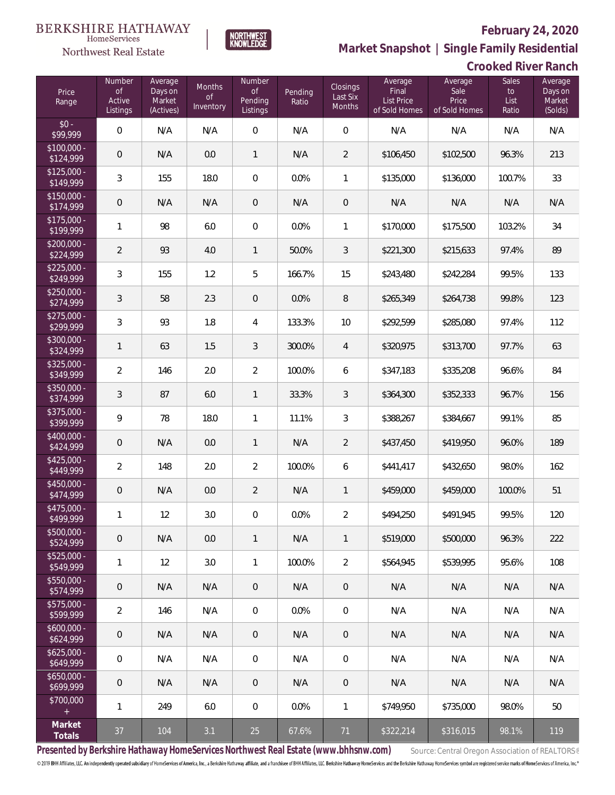**Crooked River Ranch**



**Market Snapshot | Single Family Residential**

| 110111001 VICO               |  |
|------------------------------|--|
| <b>Northwest Real Estate</b> |  |
|                              |  |

| Price<br>Range            | Number<br><b>of</b><br>Active<br>Listings | Average<br>Days on<br>Market<br>(Actives) | Months<br><b>of</b><br>Inventory | <b>Number</b><br><b>of</b><br>Pending<br>Listings | Pending<br>Ratio | Closings<br>Last Six<br>Months | Average<br>Final<br>List Price<br>of Sold Homes | Average<br>Sale<br>Price<br>of Sold Homes | <b>Sales</b><br>to<br>List<br>Ratio | Average<br>Days on<br>Market<br>(Solds) |
|---------------------------|-------------------------------------------|-------------------------------------------|----------------------------------|---------------------------------------------------|------------------|--------------------------------|-------------------------------------------------|-------------------------------------------|-------------------------------------|-----------------------------------------|
| $$0 -$<br>\$99,999        | $\mathbf{0}$                              | N/A                                       | N/A                              | $\mathbf 0$                                       | N/A              | $\overline{0}$                 | N/A                                             | N/A                                       | N/A                                 | N/A                                     |
| $$100,000 -$<br>\$124,999 | $\mathbf 0$                               | N/A                                       | 0.0                              | $\mathbf{1}$                                      | N/A              | $\overline{2}$                 | \$106,450                                       | \$102,500                                 | 96.3%                               | 213                                     |
| $$125,000 -$<br>\$149,999 | 3                                         | 155                                       | 18.0                             | $\mathbf 0$                                       | 0.0%             | 1                              | \$135,000                                       | \$136,000                                 | 100.7%                              | 33                                      |
| $$150,000 -$<br>\$174,999 | $\mathbf 0$                               | N/A                                       | N/A                              | $\mathbf 0$                                       | N/A              | $\mathbf 0$                    | N/A                                             | N/A                                       | N/A                                 | N/A                                     |
| $$175,000 -$<br>\$199,999 | $\mathbf{1}$                              | 98                                        | 6.0                              | $\mathbf 0$                                       | 0.0%             | 1                              | \$170,000                                       | \$175,500                                 | 103.2%                              | 34                                      |
| $$200,000 -$<br>\$224,999 | $\overline{2}$                            | 93                                        | 4.0                              | $\mathbf{1}$                                      | 50.0%            | 3                              | \$221,300                                       | \$215,633                                 | 97.4%                               | 89                                      |
| $$225,000 -$<br>\$249,999 | 3                                         | 155                                       | 1.2                              | 5                                                 | 166.7%           | 15                             | \$243,480                                       | \$242,284                                 | 99.5%                               | 133                                     |
| $$250,000 -$<br>\$274,999 | $\sqrt{3}$                                | 58                                        | 2.3                              | $\mathbf 0$                                       | 0.0%             | $\, 8$                         | \$265,349                                       | \$264,738                                 | 99.8%                               | 123                                     |
| $$275,000 -$<br>\$299,999 | 3                                         | 93                                        | 1.8                              | $\overline{4}$                                    | 133.3%           | 10                             | \$292,599                                       | \$285,080                                 | 97.4%                               | 112                                     |
| $$300,000 -$<br>\$324,999 | 1                                         | 63                                        | 1.5                              | $\mathfrak{Z}$                                    | 300.0%           | $\overline{4}$                 | \$320,975                                       | \$313,700                                 | 97.7%                               | 63                                      |
| $$325,000 -$<br>\$349,999 | $\overline{2}$                            | 146                                       | 2.0                              | $\overline{2}$                                    | 100.0%           | 6                              | \$347,183                                       | \$335,208                                 | 96.6%                               | 84                                      |
| $$350,000 -$<br>\$374,999 | 3                                         | 87                                        | 6.0                              | $\mathbf{1}$                                      | 33.3%            | 3                              | \$364,300                                       | \$352,333                                 | 96.7%                               | 156                                     |
| $$375,000 -$<br>\$399,999 | 9                                         | 78                                        | 18.0                             | $\mathbf{1}$                                      | 11.1%            | 3                              | \$388,267                                       | \$384,667                                 | 99.1%                               | 85                                      |
| $$400,000 -$<br>\$424,999 | $\mathbf 0$                               | N/A                                       | 0.0                              | $\mathbf{1}$                                      | N/A              | $\overline{2}$                 | \$437,450                                       | \$419,950                                 | 96.0%                               | 189                                     |
| $$425,000 -$<br>\$449,999 | $\overline{2}$                            | 148                                       | 2.0                              | $\overline{2}$                                    | 100.0%           | 6                              | \$441,417                                       | \$432,650                                 | 98.0%                               | 162                                     |
| $$450,000 -$<br>\$474,999 | $\mathbf 0$                               | N/A                                       | 0.0                              | $\overline{2}$                                    | N/A              | 1                              | \$459,000                                       | \$459,000                                 | 100.0%                              | 51                                      |
| $$475,000 -$<br>\$499,999 | $\mathbf{1}$                              | 12                                        | 3.0                              | $\mathbf 0$                                       | 0.0%             | $\overline{2}$                 | \$494,250                                       | \$491,945                                 | 99.5%                               | 120                                     |
| $$500,000 -$<br>\$524,999 | $\mathbf 0$                               | N/A                                       | 0.0                              | $\mathbf{1}$                                      | N/A              | 1                              | \$519,000                                       | \$500,000                                 | 96.3%                               | 222                                     |
| $$525,000 -$<br>\$549,999 | 1                                         | 12                                        | $3.0\,$                          | $\mathbf{1}$                                      | 100.0%           | $\overline{2}$                 | \$564,945                                       | \$539,995                                 | 95.6%                               | 108                                     |
| $$550,000 -$<br>\$574,999 | $\mathbf 0$                               | N/A                                       | N/A                              | $\mathbf 0$                                       | N/A              | $\theta$                       | N/A                                             | N/A                                       | N/A                                 | N/A                                     |
| \$575,000 -<br>\$599,999  | $\overline{2}$                            | 146                                       | N/A                              | 0                                                 | 0.0%             | $\mathbf 0$                    | N/A                                             | N/A                                       | N/A                                 | N/A                                     |
| $$600,000 -$<br>\$624,999 | $\mathbf 0$                               | N/A                                       | N/A                              | $\mathbf 0$                                       | N/A              | $\theta$                       | N/A                                             | N/A                                       | N/A                                 | N/A                                     |
| $$625,000 -$<br>\$649,999 | $\mathbf 0$                               | N/A                                       | N/A                              | 0                                                 | N/A              | $\mathbf 0$                    | N/A                                             | N/A                                       | N/A                                 | N/A                                     |
| $$650,000 -$<br>\$699,999 | $\mathbf 0$                               | N/A                                       | N/A                              | $\mathbf{0}$                                      | N/A              | $\theta$                       | N/A                                             | N/A                                       | N/A                                 | N/A                                     |
| \$700,000<br>$\pm$        | 1                                         | 249                                       | 6.0                              | 0                                                 | 0.0%             | $\mathbf{1}$                   | \$749,950                                       | \$735,000                                 | 98.0%                               | 50                                      |
| Market<br>Totals          | 37                                        | 104                                       | 3.1                              | 25                                                | 67.6%            | 71                             | \$322,214                                       | \$316,015                                 | 98.1%                               | 119                                     |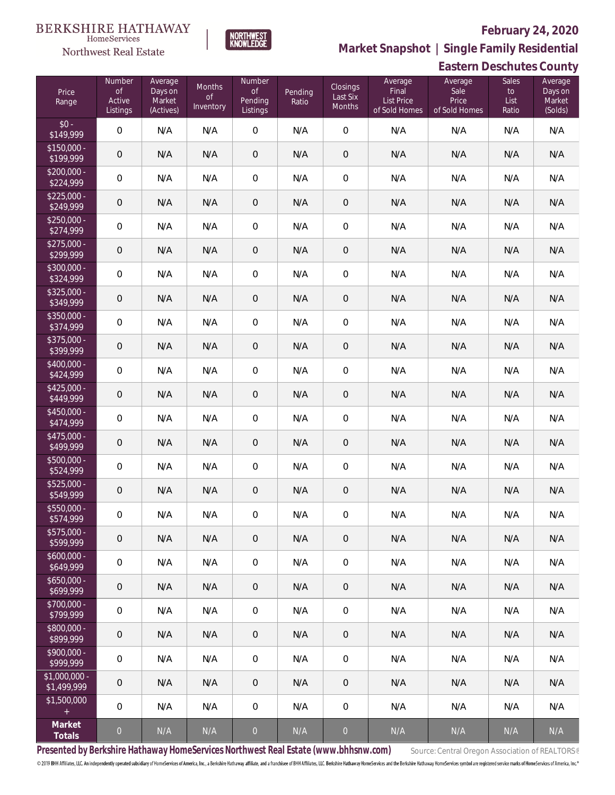# **BERKSHIRE HATHAWAY**

## HomeServices Northwest Real Estate

## **February 24, 2020**



**Market Snapshot | Single Family Residential**

| <b>Eastern Deschutes County</b> |                                           |                                           |                                  |                                            |                  |                                |                                                 |                                           |                              |                                         |
|---------------------------------|-------------------------------------------|-------------------------------------------|----------------------------------|--------------------------------------------|------------------|--------------------------------|-------------------------------------------------|-------------------------------------------|------------------------------|-----------------------------------------|
| Price<br>Range                  | Number<br><b>of</b><br>Active<br>Listings | Average<br>Days on<br>Market<br>(Actives) | Months<br><b>of</b><br>Inventory | Number<br><b>of</b><br>Pending<br>Listings | Pending<br>Ratio | Closings<br>Last Six<br>Months | Average<br>Final<br>List Price<br>of Sold Homes | Average<br>Sale<br>Price<br>of Sold Homes | Sales<br>to<br>List<br>Ratio | Average<br>Days on<br>Market<br>(Solds) |
| $$0 -$<br>\$149,999             | $\boldsymbol{0}$                          | N/A                                       | N/A                              | $\mathbf 0$                                | N/A              | $\mathbf 0$                    | N/A                                             | N/A                                       | N/A                          | N/A                                     |
| $$150,000 -$<br>\$199,999       | $\boldsymbol{0}$                          | N/A                                       | N/A                              | $\mathbf 0$                                | N/A              | $\mathsf{O}\xspace$            | N/A                                             | N/A                                       | N/A                          | N/A                                     |
| $$200,000 -$<br>\$224,999       | $\boldsymbol{0}$                          | N/A                                       | N/A                              | $\mathbf 0$                                | N/A              | $\mathbf 0$                    | N/A                                             | N/A                                       | N/A                          | N/A                                     |
| $$225,000 -$<br>\$249,999       | $\boldsymbol{0}$                          | N/A                                       | N/A                              | 0                                          | N/A              | $\mathsf{O}\xspace$            | N/A                                             | N/A                                       | N/A                          | N/A                                     |
| $$250,000 -$<br>\$274,999       | $\boldsymbol{0}$                          | N/A                                       | N/A                              | $\mathbf 0$                                | N/A              | $\mathbf 0$                    | N/A                                             | N/A                                       | N/A                          | N/A                                     |
| $$275,000 -$<br>\$299,999       | $\mathbf 0$                               | N/A                                       | N/A                              | 0                                          | N/A              | $\mathbf 0$                    | N/A                                             | N/A                                       | N/A                          | N/A                                     |
| $$300,000 -$<br>\$324,999       | $\boldsymbol{0}$                          | N/A                                       | N/A                              | $\mathbf 0$                                | N/A              | $\mathbf 0$                    | N/A                                             | N/A                                       | N/A                          | N/A                                     |
| $$325,000 -$<br>\$349,999       | $\mathbf 0$                               | N/A                                       | N/A                              | 0                                          | N/A              | $\mathbf 0$                    | N/A                                             | N/A                                       | N/A                          | N/A                                     |
| $$350,000 -$<br>\$374,999       | $\boldsymbol{0}$                          | N/A                                       | N/A                              | $\mathbf 0$                                | N/A              | $\mathbf 0$                    | N/A                                             | N/A                                       | N/A                          | N/A                                     |
| \$375,000 -<br>\$399,999        | $\mathbf 0$                               | N/A                                       | N/A                              | 0                                          | N/A              | $\mathbf 0$                    | N/A                                             | N/A                                       | N/A                          | N/A                                     |
| $$400,000 -$<br>\$424,999       | $\boldsymbol{0}$                          | N/A                                       | N/A                              | $\mathbf 0$                                | N/A              | $\mathbf 0$                    | N/A                                             | N/A                                       | N/A                          | N/A                                     |
| $$425,000 -$<br>\$449,999       | $\mathbf 0$                               | N/A                                       | N/A                              | $\sqrt{2}$                                 | N/A              | $\mathbf 0$                    | N/A                                             | N/A                                       | N/A                          | N/A                                     |
| $$450,000 -$<br>\$474,999       | $\boldsymbol{0}$                          | N/A                                       | N/A                              | $\mathbf 0$                                | N/A              | $\mathbf 0$                    | N/A                                             | N/A                                       | N/A                          | N/A                                     |
| $$475,000 -$<br>\$499,999       | $\mathbf 0$                               | N/A                                       | N/A                              | $\mathbf 0$                                | N/A              | $\mathsf{O}\xspace$            | N/A                                             | N/A                                       | N/A                          | N/A                                     |
| \$500,000 -<br>\$524,999        | $\boldsymbol{0}$                          | N/A                                       | N/A                              | $\mathbf 0$                                | N/A              | $\mathbf 0$                    | N/A                                             | N/A                                       | N/A                          | N/A                                     |
| \$525,000 -<br>\$549,999        | 0                                         | N/A                                       | N/A                              | 0                                          | N/A              | $\mathsf{O}\xspace$            | N/A                                             | N/A                                       | N/A                          | N/A                                     |
| $$550,000 -$<br>\$574,999       | 0                                         | N/A                                       | N/A                              | $\overline{0}$                             | N/A              | $\mathbf{0}$                   | N/A                                             | N/A                                       | N/A                          | N/A                                     |
| $$575,000 -$<br>\$599,999       | 0                                         | N/A                                       | N/A                              | $\mathbf 0$                                | N/A              | $\mathbf 0$                    | N/A                                             | N/A                                       | N/A                          | N/A                                     |
| $$600,000 -$<br>\$649,999       | 0                                         | N/A                                       | N/A                              | $\overline{0}$                             | N/A              | $\overline{0}$                 | N/A                                             | N/A                                       | N/A                          | N/A                                     |
| $$650,000 -$<br>\$699,999       | 0                                         | N/A                                       | N/A                              | $\mathbf 0$                                | N/A              | $\mathbf 0$                    | N/A                                             | N/A                                       | N/A                          | N/A                                     |
| \$700,000 -<br>\$799,999        | 0                                         | N/A                                       | N/A                              | $\overline{0}$                             | N/A              | $\overline{0}$                 | N/A                                             | N/A                                       | N/A                          | N/A                                     |
| $$800.000 -$<br>\$899,999       | 0                                         | N/A                                       | N/A                              | $\mathbf 0$                                | N/A              | $\mathbf 0$                    | N/A                                             | N/A                                       | N/A                          | N/A                                     |
| $$900,000 -$<br>\$999,999       | 0                                         | N/A                                       | N/A                              | $\,0\,$                                    | N/A              | $\overline{0}$                 | N/A                                             | N/A                                       | N/A                          | N/A                                     |
| $$1,000,000 -$<br>\$1,499,999   | 0                                         | N/A                                       | N/A                              | $\mathbf 0$                                | N/A              | $\mathbf 0$                    | N/A                                             | N/A                                       | N/A                          | N/A                                     |
| \$1,500,000<br>$\pm$            | 0                                         | N/A                                       | N/A                              | $\overline{0}$                             | N/A              | $\overline{0}$                 | N/A                                             | N/A                                       | N/A                          | N/A                                     |
| Market<br>Totals                | $\overline{0}$                            | N/A                                       | N/A                              | $\overline{0}$                             | N/A              | $\overline{0}$                 | N/A                                             | N/A                                       | N/A                          | N/A                                     |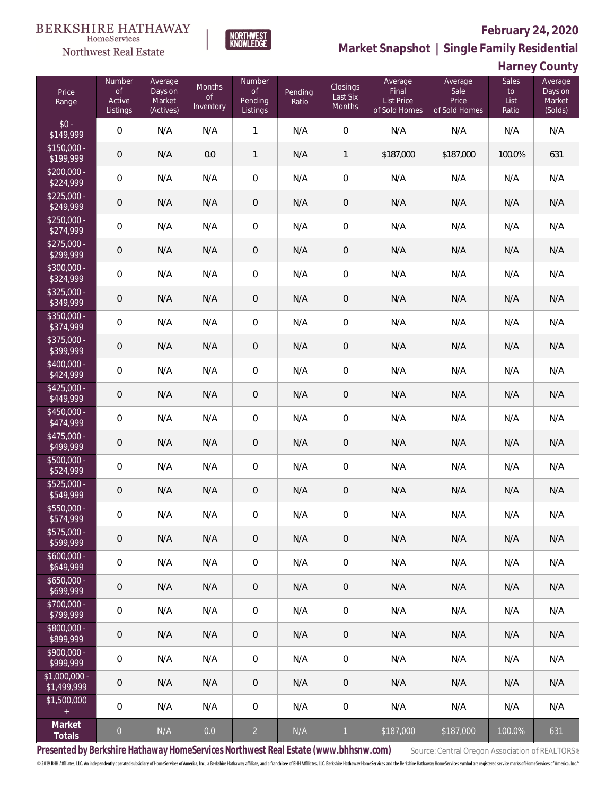

**NORTHWEST**<br>KNOWLEDGE

# **February 24, 2020**

**Market Snapshot | Single Family Residential**

| Harney County |  |
|---------------|--|
|---------------|--|

| Price<br>Range                | Number<br>$\mathsf{of}$<br>Active<br>Listings | Average<br>Days on<br>Market<br>(Actives) | Months<br><b>of</b><br>Inventory | Number<br>$\mathsf{of}$<br>Pending<br>Listings | Pending<br>Ratio | Closings<br>Last Six<br>Months | Average<br>Final<br><b>List Price</b><br>of Sold Homes | Average<br>Sale<br>Price<br>of Sold Homes | Sales<br>$\mathsf{to}$<br>List<br>Ratio | Average<br>Days on<br>Market<br>(Solds) |
|-------------------------------|-----------------------------------------------|-------------------------------------------|----------------------------------|------------------------------------------------|------------------|--------------------------------|--------------------------------------------------------|-------------------------------------------|-----------------------------------------|-----------------------------------------|
| $$0 -$<br>\$149,999           | $\overline{0}$                                | N/A                                       | N/A                              | $\mathbf{1}$                                   | N/A              | $\mathbf 0$                    | N/A                                                    | N/A                                       | N/A                                     | N/A                                     |
| $$150,000 -$<br>\$199,999     | $\mathbf 0$                                   | N/A                                       | 0.0                              | $\mathbf{1}$                                   | N/A              | 1                              | \$187,000                                              | \$187,000                                 | 100.0%                                  | 631                                     |
| $$200,000 -$<br>\$224,999     | $\overline{0}$                                | N/A                                       | N/A                              | $\mathbf 0$                                    | N/A              | $\mathbf 0$                    | N/A                                                    | N/A                                       | N/A                                     | N/A                                     |
| $$225,000 -$<br>\$249,999     | $\mathbf 0$                                   | N/A                                       | N/A                              | $\theta$                                       | N/A              | $\mathbf 0$                    | N/A                                                    | N/A                                       | N/A                                     | N/A                                     |
| $$250,000 -$<br>\$274,999     | $\mathbf 0$                                   | N/A                                       | N/A                              | $\mathbf 0$                                    | N/A              | $\mathbf 0$                    | N/A                                                    | N/A                                       | N/A                                     | N/A                                     |
| $$275,000 -$<br>\$299,999     | $\mathbf 0$                                   | N/A                                       | N/A                              | $\,0\,$                                        | N/A              | $\mathbf 0$                    | N/A                                                    | N/A                                       | N/A                                     | N/A                                     |
| \$300,000 -<br>\$324,999      | $\overline{0}$                                | N/A                                       | N/A                              | $\mathbf 0$                                    | N/A              | $\mathbf 0$                    | N/A                                                    | N/A                                       | N/A                                     | N/A                                     |
| $$325,000 -$<br>\$349,999     | $\mathbf 0$                                   | N/A                                       | N/A                              | $\,0\,$                                        | N/A              | $\mathbf 0$                    | N/A                                                    | N/A                                       | N/A                                     | N/A                                     |
| \$350,000 -<br>\$374,999      | $\overline{0}$                                | N/A                                       | N/A                              | $\mathbf 0$                                    | N/A              | $\mathbf 0$                    | N/A                                                    | N/A                                       | N/A                                     | N/A                                     |
| \$375,000 -<br>\$399,999      | $\mathbf 0$                                   | N/A                                       | N/A                              | $\theta$                                       | N/A              | $\mathbf 0$                    | N/A                                                    | N/A                                       | N/A                                     | N/A                                     |
| \$400,000 -<br>\$424,999      | $\mathbf 0$                                   | N/A                                       | N/A                              | $\mathbf 0$                                    | N/A              | $\mathbf 0$                    | N/A                                                    | N/A                                       | N/A                                     | N/A                                     |
| $$425,000 -$<br>\$449,999     | $\mathbf 0$                                   | N/A                                       | N/A                              | $\theta$                                       | N/A              | $\overline{0}$                 | N/A                                                    | N/A                                       | N/A                                     | N/A                                     |
| $$450,000 -$<br>\$474,999     | $\mathbf 0$                                   | N/A                                       | N/A                              | 0                                              | N/A              | $\mathbf 0$                    | N/A                                                    | N/A                                       | N/A                                     | N/A                                     |
| $$475,000 -$<br>\$499,999     | $\mathbf 0$                                   | N/A                                       | N/A                              | $\theta$                                       | N/A              | $\overline{0}$                 | N/A                                                    | N/A                                       | N/A                                     | N/A                                     |
| \$500,000 -<br>\$524,999      | $\mathbf 0$                                   | N/A                                       | N/A                              | 0                                              | N/A              | $\mathbf 0$                    | N/A                                                    | N/A                                       | N/A                                     | N/A                                     |
| $$525,000 -$<br>\$549,999     | $\mathbf 0$                                   | N/A                                       | N/A                              | $\theta$                                       | N/A              | $\mathbf 0$                    | N/A                                                    | N/A                                       | N/A                                     | N/A                                     |
| \$550,000 -<br>\$574,999      | $\mathbf 0$                                   | N/A                                       | N/A                              | $\mathsf{O}\xspace$                            | N/A              | $\mathbf 0$                    | N/A                                                    | N/A                                       | N/A                                     | N/A                                     |
| \$575,000 -<br>\$599,999      | $\theta$                                      | N/A                                       | N/A                              | $\theta$                                       | N/A              | $\overline{0}$                 | N/A                                                    | N/A                                       | N/A                                     | N/A                                     |
| $$600,000 -$<br>\$649,999     | $\mathbf 0$                                   | N/A                                       | N/A                              | 0                                              | N/A              | $\overline{0}$                 | N/A                                                    | N/A                                       | N/A                                     | N/A                                     |
| $$650,000 -$<br>\$699,999     | $\theta$                                      | N/A                                       | N/A                              | $\theta$                                       | N/A              | $\overline{0}$                 | N/A                                                    | N/A                                       | N/A                                     | N/A                                     |
| $$700,000 -$<br>\$799,999     | $\mathbf 0$                                   | N/A                                       | N/A                              | 0                                              | N/A              | $\mathbf 0$                    | N/A                                                    | N/A                                       | N/A                                     | N/A                                     |
| $$800,000 -$<br>\$899,999     | $\theta$                                      | N/A                                       | N/A                              | $\theta$                                       | N/A              | $\overline{0}$                 | N/A                                                    | N/A                                       | N/A                                     | N/A                                     |
| \$900,000 -<br>\$999,999      | $\mathbf 0$                                   | N/A                                       | N/A                              | 0                                              | N/A              | $\overline{0}$                 | N/A                                                    | N/A                                       | N/A                                     | N/A                                     |
| $$1,000,000 -$<br>\$1,499,999 | $\theta$                                      | N/A                                       | N/A                              | $\overline{0}$                                 | N/A              | $\mathbf 0$                    | N/A                                                    | N/A                                       | N/A                                     | N/A                                     |
| \$1,500,000<br>$\pm$          | $\mathbf 0$                                   | N/A                                       | N/A                              | 0                                              | N/A              | $\mathbf 0$                    | N/A                                                    | N/A                                       | N/A                                     | N/A                                     |
| Market<br>Totals              | $\theta$                                      | N/A                                       | 0.0                              | $\overline{2}$                                 | N/A              | $\mathbf{1}$                   | \$187,000                                              | \$187,000                                 | 100.0%                                  | 631                                     |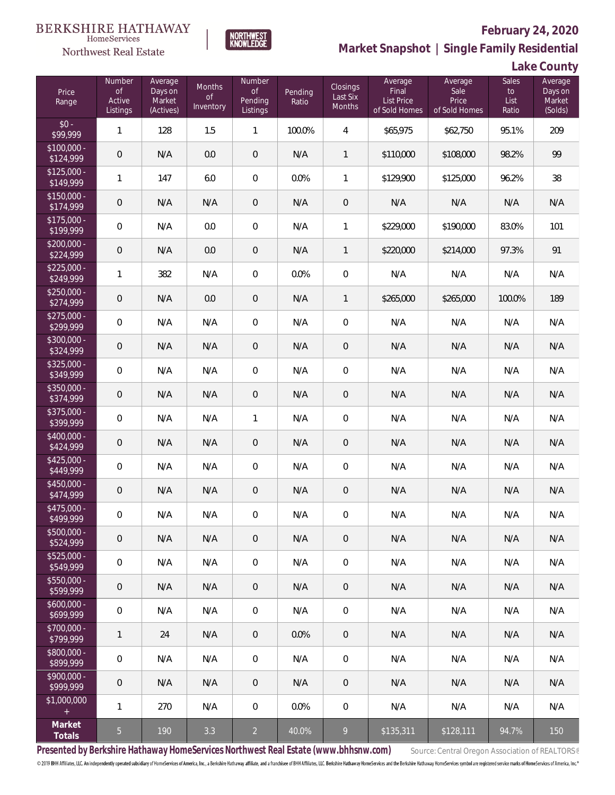

# **February 24, 2020**

**Market Snapshot | Single Family Residential**

**Lake County**

| Price<br>Range            | Number<br><b>of</b><br>Active<br>Listings | Average<br>Days on<br>Market<br>(Actives) | <b>Months</b><br>0f<br>Inventory | Number<br><b>of</b><br>Pending<br>Listings | Pending<br>Ratio | Closings<br>Last Six<br>Months | Average<br>Final<br>List Price<br>of Sold Homes | Average<br>Sale<br>Price<br>of Sold Homes | <b>Sales</b><br>$\mathsf{to}$<br>List<br>Ratio | Average<br>Days on<br>Market<br>(Solds) |
|---------------------------|-------------------------------------------|-------------------------------------------|----------------------------------|--------------------------------------------|------------------|--------------------------------|-------------------------------------------------|-------------------------------------------|------------------------------------------------|-----------------------------------------|
| $$0 -$<br>\$99,999        | $\mathbf{1}$                              | 128                                       | 1.5                              | $\mathbf{1}$                               | 100.0%           | $\overline{4}$                 | \$65,975                                        | \$62,750                                  | 95.1%                                          | 209                                     |
| $$100,000 -$<br>\$124,999 | $\mathbf 0$                               | N/A                                       | 0.0                              | $\mathbf 0$                                | N/A              | $\mathbf{1}$                   | \$110,000                                       | \$108,000                                 | 98.2%                                          | 99                                      |
| $$125,000 -$<br>\$149,999 | 1                                         | 147                                       | 6.0                              | $\mathbf 0$                                | 0.0%             | 1                              | \$129,900                                       | \$125,000                                 | 96.2%                                          | 38                                      |
| $$150,000 -$<br>\$174,999 | $\mathbf 0$                               | N/A                                       | N/A                              | $\mathbf 0$                                | N/A              | $\mathbf 0$                    | N/A                                             | N/A                                       | N/A                                            | N/A                                     |
| $$175,000 -$<br>\$199,999 | $\mathbf 0$                               | N/A                                       | 0.0                              | $\mathbf 0$                                | N/A              | 1                              | \$229,000                                       | \$190,000                                 | 83.0%                                          | 101                                     |
| $$200,000 -$<br>\$224,999 | $\mathbf 0$                               | N/A                                       | 0.0                              | $\mathsf{O}\xspace$                        | N/A              | $\mathbf{1}$                   | \$220,000                                       | \$214,000                                 | 97.3%                                          | 91                                      |
| $$225,000 -$<br>\$249,999 | 1                                         | 382                                       | N/A                              | $\mathbf 0$                                | 0.0%             | $\mathbf 0$                    | N/A                                             | N/A                                       | N/A                                            | N/A                                     |
| $$250,000 -$<br>\$274,999 | $\mathbf 0$                               | N/A                                       | 0.0                              | $\mathbf 0$                                | N/A              | $\mathbf{1}$                   | \$265,000                                       | \$265,000                                 | 100.0%                                         | 189                                     |
| $$275,000 -$<br>\$299,999 | $\mathbf 0$                               | N/A                                       | N/A                              | $\mathbf 0$                                | N/A              | $\mathbf 0$                    | N/A                                             | N/A                                       | N/A                                            | N/A                                     |
| $$300,000 -$<br>\$324,999 | $\mathbf 0$                               | N/A                                       | N/A                              | $\mathbf 0$                                | N/A              | $\mathbf 0$                    | N/A                                             | N/A                                       | N/A                                            | N/A                                     |
| $$325,000 -$<br>\$349,999 | $\mathbf 0$                               | N/A                                       | N/A                              | $\mathbf 0$                                | N/A              | $\mathbf 0$                    | N/A                                             | N/A                                       | N/A                                            | N/A                                     |
| $$350,000 -$<br>\$374,999 | $\mathbf 0$                               | N/A                                       | N/A                              | $\mathbf 0$                                | N/A              | $\mathbf 0$                    | N/A                                             | N/A                                       | N/A                                            | N/A                                     |
| $$375,000 -$<br>\$399,999 | $\mathbf 0$                               | N/A                                       | N/A                              | 1                                          | N/A              | $\mathbf 0$                    | N/A                                             | N/A                                       | N/A                                            | N/A                                     |
| $$400,000 -$<br>\$424,999 | $\mathbf 0$                               | N/A                                       | N/A                              | $\mathbf 0$                                | N/A              | $\mathbf 0$                    | N/A                                             | N/A                                       | N/A                                            | N/A                                     |
| $$425,000 -$<br>\$449,999 | $\overline{0}$                            | N/A                                       | N/A                              | $\mathbf 0$                                | N/A              | $\mathbf 0$                    | N/A                                             | N/A                                       | N/A                                            | N/A                                     |
| $$450,000 -$<br>\$474,999 | $\theta$                                  | N/A                                       | N/A                              | $\mathbf 0$                                | N/A              | $\mathbf 0$                    | N/A                                             | N/A                                       | N/A                                            | N/A                                     |
| \$475,000 -<br>\$499,999  | $\mathbf 0$                               | N/A                                       | N/A                              | $\mathbf 0$                                | N/A              | $\mathbf 0$                    | N/A                                             | N/A                                       | N/A                                            | N/A                                     |
| $$500.000 -$<br>\$524,999 | $\overline{0}$                            | N/A                                       | N/A                              | $\mathbf 0$                                | N/A              | $\mathbf 0$                    | N/A                                             | N/A                                       | N/A                                            | N/A                                     |
| $$525,000 -$<br>\$549,999 | $\mathbf 0$                               | N/A                                       | N/A                              | 0                                          | N/A              | $\mathbf 0$                    | N/A                                             | N/A                                       | N/A                                            | N/A                                     |
| $$550,000 -$<br>\$599,999 | $\overline{0}$                            | N/A                                       | N/A                              | $\mathsf{O}\xspace$                        | N/A              | $\theta$                       | N/A                                             | N/A                                       | N/A                                            | N/A                                     |
| $$600,000 -$<br>\$699,999 | $\mathbf 0$                               | N/A                                       | N/A                              | 0                                          | N/A              | $\mathbf 0$                    | N/A                                             | N/A                                       | N/A                                            | N/A                                     |
| $$700,000 -$<br>\$799,999 | 1                                         | 24                                        | N/A                              | $\mathsf{O}\xspace$                        | 0.0%             | $\theta$                       | N/A                                             | N/A                                       | N/A                                            | N/A                                     |
| \$800,000 -<br>\$899,999  | $\mathbf 0$                               | N/A                                       | N/A                              | 0                                          | N/A              | $\mathbf 0$                    | N/A                                             | N/A                                       | N/A                                            | N/A                                     |
| $$900,000 -$<br>\$999,999 | $\overline{0}$                            | N/A                                       | N/A                              | $\mathbf 0$                                | N/A              | $\theta$                       | N/A                                             | N/A                                       | N/A                                            | N/A                                     |
| \$1,000,000<br>$\pm$      | 1                                         | 270                                       | N/A                              | 0                                          | 0.0%             | $\mathbf 0$                    | N/A                                             | N/A                                       | N/A                                            | N/A                                     |
| Market<br>Totals          | 5                                         | 190                                       | 3.3                              | $\overline{a}$                             | 40.0%            | 9                              | \$135,311                                       | \$128,111                                 | 94.7%                                          | 150                                     |

**NORTHWEST**<br>KNOWLEDGE